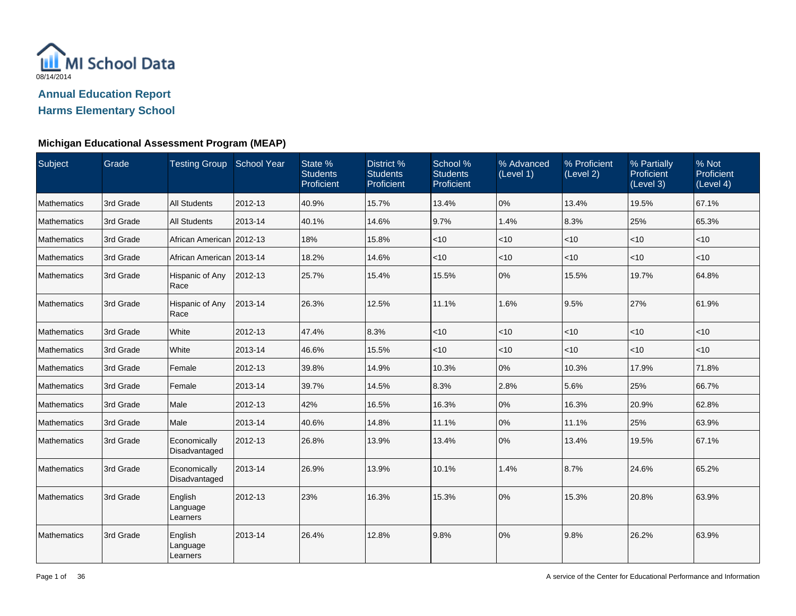

| Subject            | Grade     | Testing Group School Year       |         | State %<br><b>Students</b><br>Proficient | District %<br><b>Students</b><br>Proficient | School %<br><b>Students</b><br>Proficient | % Advanced<br>(Level 1) | % Proficient<br>(Level 2) | % Partially<br><b>Proficient</b><br>(Level 3) | % Not<br>Proficient<br>(Level 4) |
|--------------------|-----------|---------------------------------|---------|------------------------------------------|---------------------------------------------|-------------------------------------------|-------------------------|---------------------------|-----------------------------------------------|----------------------------------|
| <b>Mathematics</b> | 3rd Grade | <b>All Students</b>             | 2012-13 | 40.9%                                    | 15.7%                                       | 13.4%                                     | 0%                      | 13.4%                     | 19.5%                                         | 67.1%                            |
| <b>Mathematics</b> | 3rd Grade | <b>All Students</b>             | 2013-14 | 40.1%                                    | 14.6%                                       | 9.7%                                      | 1.4%                    | 8.3%                      | 25%                                           | 65.3%                            |
| <b>Mathematics</b> | 3rd Grade | African American 2012-13        |         | 18%                                      | 15.8%                                       | < 10                                      | $<$ 10                  | $<$ 10                    | < 10                                          | $<$ 10                           |
| <b>Mathematics</b> | 3rd Grade | African American   2013-14      |         | 18.2%                                    | 14.6%                                       | $<$ 10                                    | $<$ 10                  | $<$ 10                    | $<$ 10                                        | $<$ 10                           |
| <b>Mathematics</b> | 3rd Grade | Hispanic of Any<br>Race         | 2012-13 | 25.7%                                    | 15.4%                                       | 15.5%                                     | 0%                      | 15.5%                     | 19.7%                                         | 64.8%                            |
| <b>Mathematics</b> | 3rd Grade | Hispanic of Any<br>Race         | 2013-14 | 26.3%                                    | 12.5%                                       | 11.1%                                     | 1.6%                    | 9.5%                      | 27%                                           | 61.9%                            |
| <b>Mathematics</b> | 3rd Grade | White                           | 2012-13 | 47.4%                                    | 8.3%                                        | < 10                                      | $<$ 10                  | $<$ 10                    | $<$ 10                                        | $<$ 10                           |
| <b>Mathematics</b> | 3rd Grade | White                           | 2013-14 | 46.6%                                    | 15.5%                                       | $<$ 10                                    | <10                     | $<$ 10                    | $<$ 10                                        | $<$ 10                           |
| <b>Mathematics</b> | 3rd Grade | Female                          | 2012-13 | 39.8%                                    | 14.9%                                       | 10.3%                                     | 0%                      | 10.3%                     | 17.9%                                         | 71.8%                            |
| <b>Mathematics</b> | 3rd Grade | Female                          | 2013-14 | 39.7%                                    | 14.5%                                       | 8.3%                                      | 2.8%                    | 5.6%                      | 25%                                           | 66.7%                            |
| <b>Mathematics</b> | 3rd Grade | Male                            | 2012-13 | 42%                                      | 16.5%                                       | 16.3%                                     | 0%                      | 16.3%                     | 20.9%                                         | 62.8%                            |
| <b>Mathematics</b> | 3rd Grade | Male                            | 2013-14 | 40.6%                                    | 14.8%                                       | 11.1%                                     | 0%                      | 11.1%                     | 25%                                           | 63.9%                            |
| <b>Mathematics</b> | 3rd Grade | Economically<br>Disadvantaged   | 2012-13 | 26.8%                                    | 13.9%                                       | 13.4%                                     | 0%                      | 13.4%                     | 19.5%                                         | 67.1%                            |
| <b>Mathematics</b> | 3rd Grade | Economically<br>Disadvantaged   | 2013-14 | 26.9%                                    | 13.9%                                       | 10.1%                                     | 1.4%                    | 8.7%                      | 24.6%                                         | 65.2%                            |
| <b>Mathematics</b> | 3rd Grade | English<br>Language<br>Learners | 2012-13 | 23%                                      | 16.3%                                       | 15.3%                                     | 0%                      | 15.3%                     | 20.8%                                         | 63.9%                            |
| <b>Mathematics</b> | 3rd Grade | English<br>Language<br>Learners | 2013-14 | 26.4%                                    | 12.8%                                       | 9.8%                                      | 0%                      | 9.8%                      | 26.2%                                         | 63.9%                            |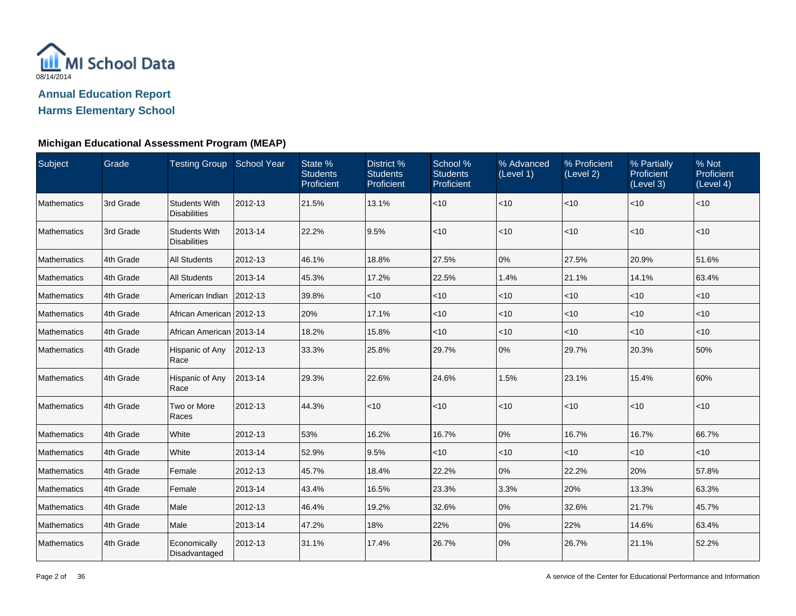

| Subject            | Grade     | <b>Testing Group School Year</b>            |         | State %<br><b>Students</b><br>Proficient | District %<br><b>Students</b><br>Proficient | School %<br><b>Students</b><br>Proficient | % Advanced<br>(Level 1) | % Proficient<br>(Level 2) | % Partially<br>Proficient<br>(Level 3) | % Not<br>Proficient<br>(Level 4) |
|--------------------|-----------|---------------------------------------------|---------|------------------------------------------|---------------------------------------------|-------------------------------------------|-------------------------|---------------------------|----------------------------------------|----------------------------------|
| Mathematics        | 3rd Grade | <b>Students With</b><br><b>Disabilities</b> | 2012-13 | 21.5%                                    | 13.1%                                       | ~10                                       | $<$ 10                  | $<$ 10                    | $<$ 10                                 | $<$ 10                           |
| Mathematics        | 3rd Grade | <b>Students With</b><br><b>Disabilities</b> | 2013-14 | 22.2%                                    | 9.5%                                        | < 10                                      | $<$ 10                  | $ $ < 10                  | $<$ 10                                 | $<$ 10                           |
| Mathematics        | 4th Grade | <b>All Students</b>                         | 2012-13 | 46.1%                                    | 18.8%                                       | 27.5%                                     | 0%                      | 27.5%                     | 20.9%                                  | 51.6%                            |
| Mathematics        | 4th Grade | <b>All Students</b>                         | 2013-14 | 45.3%                                    | 17.2%                                       | 22.5%                                     | 1.4%                    | 21.1%                     | 14.1%                                  | 63.4%                            |
| <b>Mathematics</b> | 4th Grade | American Indian                             | 2012-13 | 39.8%                                    | $<$ 10                                      | ~10                                       | $<$ 10                  | $<$ 10                    | $<$ 10                                 | $<$ 10                           |
| Mathematics        | 4th Grade | African American   2012-13                  |         | 20%                                      | 17.1%                                       | $<$ 10                                    | $<$ 10                  | $<$ 10                    | $<$ 10                                 | $<$ 10                           |
| Mathematics        | 4th Grade | African American 2013-14                    |         | 18.2%                                    | 15.8%                                       | ~10                                       | $<$ 10                  | $<$ 10                    | $<$ 10                                 | $<$ 10                           |
| Mathematics        | 4th Grade | Hispanic of Any<br>Race                     | 2012-13 | 33.3%                                    | 25.8%                                       | 29.7%                                     | 0%                      | 29.7%                     | 20.3%                                  | 50%                              |
| Mathematics        | 4th Grade | Hispanic of Any<br>Race                     | 2013-14 | 29.3%                                    | 22.6%                                       | 24.6%                                     | 1.5%                    | 23.1%                     | 15.4%                                  | 60%                              |
| Mathematics        | 4th Grade | Two or More<br>Races                        | 2012-13 | 44.3%                                    | $ $ < 10                                    | < 10                                      | $<$ 10                  | $ $ < 10                  | $<$ 10                                 | $<$ 10                           |
| Mathematics        | 4th Grade | White                                       | 2012-13 | 53%                                      | 16.2%                                       | 16.7%                                     | 0%                      | 16.7%                     | 16.7%                                  | 66.7%                            |
| Mathematics        | 4th Grade | White                                       | 2013-14 | 52.9%                                    | 9.5%                                        | $<$ 10                                    | $<$ 10                  | $<$ 10                    | $<$ 10                                 | $<$ 10                           |
| <b>Mathematics</b> | 4th Grade | Female                                      | 2012-13 | 45.7%                                    | 18.4%                                       | 22.2%                                     | 0%                      | 22.2%                     | 20%                                    | 57.8%                            |
| Mathematics        | 4th Grade | Female                                      | 2013-14 | 43.4%                                    | 16.5%                                       | 23.3%                                     | 3.3%                    | 20%                       | 13.3%                                  | 63.3%                            |
| Mathematics        | 4th Grade | Male                                        | 2012-13 | 46.4%                                    | 19.2%                                       | 32.6%                                     | 0%                      | 32.6%                     | 21.7%                                  | 45.7%                            |
| Mathematics        | 4th Grade | Male                                        | 2013-14 | 47.2%                                    | 18%                                         | 22%                                       | 0%                      | 22%                       | 14.6%                                  | 63.4%                            |
| Mathematics        | 4th Grade | Economically<br>Disadvantaged               | 2012-13 | 31.1%                                    | 17.4%                                       | 26.7%                                     | 0%                      | 26.7%                     | 21.1%                                  | 52.2%                            |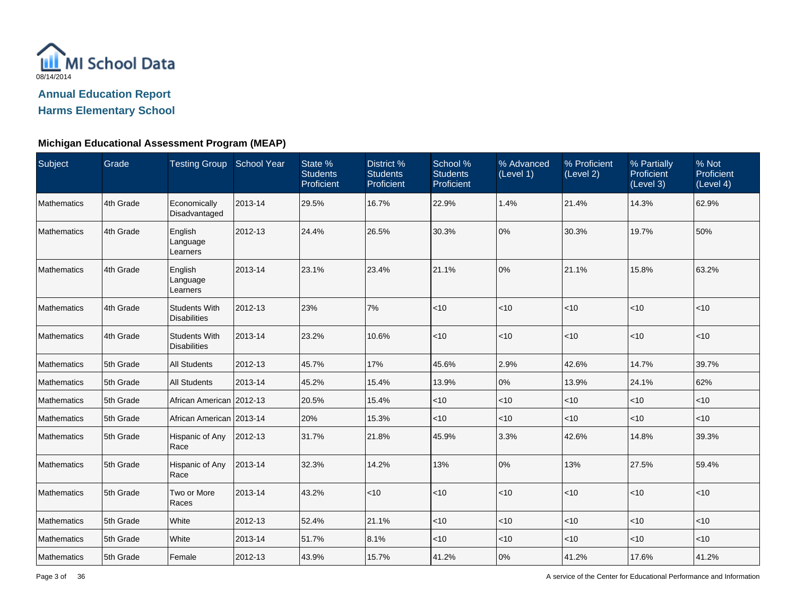

#### **Michigan Educational Assessment Program (MEAP)**

| Subject     | Grade     | Testing Group School Year                   |         | State %<br><b>Students</b><br>Proficient | District %<br><b>Students</b><br>Proficient | School %<br><b>Students</b><br>Proficient | % Advanced<br>(Level 1) | % Proficient<br>(Level 2) | % Partially<br>Proficient<br>(Level 3) | % Not<br>Proficient<br>(Level 4) |
|-------------|-----------|---------------------------------------------|---------|------------------------------------------|---------------------------------------------|-------------------------------------------|-------------------------|---------------------------|----------------------------------------|----------------------------------|
| Mathematics | 4th Grade | Economically<br>Disadvantaged               | 2013-14 | 29.5%                                    | 16.7%                                       | 22.9%                                     | 1.4%                    | 21.4%                     | 14.3%                                  | 62.9%                            |
| Mathematics | 4th Grade | English<br>Language<br>Learners             | 2012-13 | 24.4%                                    | 26.5%                                       | 30.3%                                     | 0%                      | 30.3%                     | 19.7%                                  | 50%                              |
| Mathematics | 4th Grade | English<br>Language<br>Learners             | 2013-14 | 23.1%                                    | 23.4%                                       | 21.1%                                     | 0%                      | 21.1%                     | 15.8%                                  | 63.2%                            |
| Mathematics | 4th Grade | <b>Students With</b><br><b>Disabilities</b> | 2012-13 | 23%                                      | 7%                                          | $<$ 10                                    | $ $ < 10                | < 10                      | $<$ 10                                 | $<$ 10                           |
| Mathematics | 4th Grade | <b>Students With</b><br><b>Disabilities</b> | 2013-14 | 23.2%                                    | 10.6%                                       | $<$ 10                                    | $ $ < 10                | $ $ < 10                  | $<$ 10                                 | $<$ 10                           |
| Mathematics | 5th Grade | <b>All Students</b>                         | 2012-13 | 45.7%                                    | 17%                                         | 45.6%                                     | 2.9%                    | 42.6%                     | 14.7%                                  | 39.7%                            |
| Mathematics | 5th Grade | <b>All Students</b>                         | 2013-14 | 45.2%                                    | 15.4%                                       | 13.9%                                     | 0%                      | 13.9%                     | 24.1%                                  | 62%                              |
| Mathematics | 5th Grade | African American 2012-13                    |         | 20.5%                                    | 15.4%                                       | $ $ < 10                                  | $ $ < 10                | $<$ 10                    | $<$ 10                                 | $<$ 10                           |
| Mathematics | 5th Grade | African American 2013-14                    |         | 20%                                      | 15.3%                                       | $<$ 10                                    | $ $ < 10                | $<$ 10                    | $<$ 10                                 | $<$ 10                           |
| Mathematics | 5th Grade | Hispanic of Any<br>Race                     | 2012-13 | 31.7%                                    | 21.8%                                       | 45.9%                                     | 3.3%                    | 42.6%                     | 14.8%                                  | 39.3%                            |
| Mathematics | 5th Grade | Hispanic of Any<br>Race                     | 2013-14 | 32.3%                                    | 14.2%                                       | 13%                                       | 0%                      | 13%                       | 27.5%                                  | 59.4%                            |
| Mathematics | 5th Grade | Two or More<br>Races                        | 2013-14 | 43.2%                                    | <10                                         | < 10                                      | $ $ < 10                | $ $ < 10                  | < 10                                   | $<$ 10                           |
| Mathematics | 5th Grade | White                                       | 2012-13 | 52.4%                                    | 21.1%                                       | < 10                                      | $ $ < 10                | < 10                      | < 10                                   | $<$ 10                           |
| Mathematics | 5th Grade | White                                       | 2013-14 | 51.7%                                    | 8.1%                                        | $<$ 10                                    | $<$ 10                  | $<$ 10                    | $<$ 10                                 | $<$ 10                           |
| Mathematics | 5th Grade | Female                                      | 2012-13 | 43.9%                                    | 15.7%                                       | 41.2%                                     | 0%                      | 41.2%                     | 17.6%                                  | 41.2%                            |

A service of the Center for Educational Performance and Information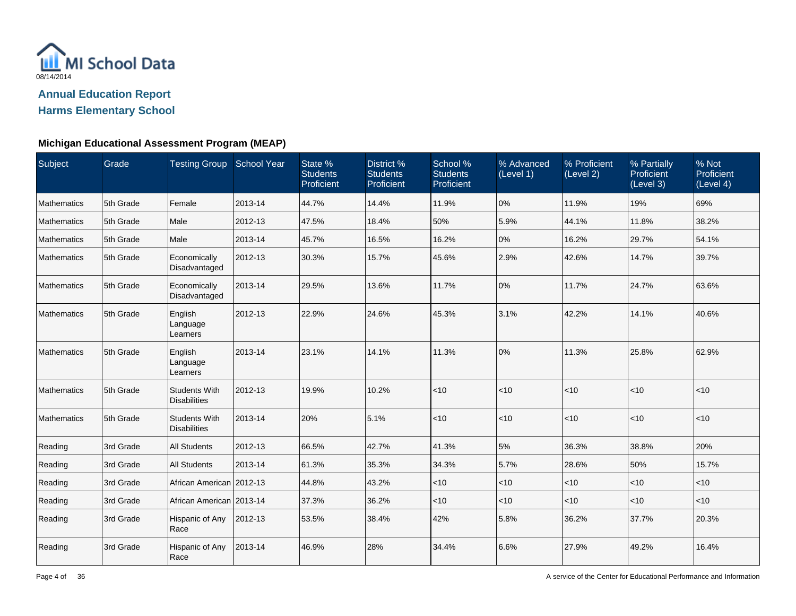

| Subject     | Grade     | Testing Group School Year                   |         | State %<br><b>Students</b><br>Proficient | District %<br><b>Students</b><br>Proficient | School %<br><b>Students</b><br>Proficient | % Advanced<br>(Level 1) | % Proficient<br>(Level 2) | % Partially<br>Proficient<br>(Level 3) | % Not<br>Proficient<br>(Level 4) |
|-------------|-----------|---------------------------------------------|---------|------------------------------------------|---------------------------------------------|-------------------------------------------|-------------------------|---------------------------|----------------------------------------|----------------------------------|
| Mathematics | 5th Grade | Female                                      | 2013-14 | 44.7%                                    | 14.4%                                       | 11.9%                                     | 0%                      | 11.9%                     | 19%                                    | 69%                              |
| Mathematics | 5th Grade | Male                                        | 2012-13 | 47.5%                                    | 18.4%                                       | 50%                                       | 5.9%                    | 44.1%                     | 11.8%                                  | 38.2%                            |
| Mathematics | 5th Grade | Male                                        | 2013-14 | 45.7%                                    | 16.5%                                       | 16.2%                                     | 0%                      | 16.2%                     | 29.7%                                  | 54.1%                            |
| Mathematics | 5th Grade | Economically<br>Disadvantaged               | 2012-13 | 30.3%                                    | 15.7%                                       | 45.6%                                     | 2.9%                    | 42.6%                     | 14.7%                                  | 39.7%                            |
| Mathematics | 5th Grade | Economically<br>Disadvantaged               | 2013-14 | 29.5%                                    | 13.6%                                       | 11.7%                                     | 0%                      | 11.7%                     | 24.7%                                  | 63.6%                            |
| Mathematics | 5th Grade | English<br>Language<br>Learners             | 2012-13 | 22.9%                                    | 24.6%                                       | 45.3%                                     | 3.1%                    | 42.2%                     | 14.1%                                  | 40.6%                            |
| Mathematics | 5th Grade | English<br>Language<br>Learners             | 2013-14 | 23.1%                                    | 14.1%                                       | 11.3%                                     | 0%                      | 11.3%                     | 25.8%                                  | 62.9%                            |
| Mathematics | 5th Grade | <b>Students With</b><br><b>Disabilities</b> | 2012-13 | 19.9%                                    | 10.2%                                       | < 10                                      | $ $ < 10                | $ $ < 10                  | $<$ 10                                 | $<$ 10                           |
| Mathematics | 5th Grade | <b>Students With</b><br><b>Disabilities</b> | 2013-14 | 20%                                      | 5.1%                                        | < 10                                      | $ $ < 10                | $ $ < 10                  | $<$ 10                                 | $<$ 10                           |
| Reading     | 3rd Grade | <b>All Students</b>                         | 2012-13 | 66.5%                                    | 42.7%                                       | 41.3%                                     | 5%                      | 36.3%                     | 38.8%                                  | 20%                              |
| Reading     | 3rd Grade | <b>All Students</b>                         | 2013-14 | 61.3%                                    | 35.3%                                       | 34.3%                                     | 5.7%                    | 28.6%                     | 50%                                    | 15.7%                            |
| Reading     | 3rd Grade | African American   2012-13                  |         | 44.8%                                    | 43.2%                                       | $<$ 10                                    | $<$ 10                  | $<$ 10                    | $<$ 10                                 | $<$ 10                           |
| Reading     | 3rd Grade | African American   2013-14                  |         | 37.3%                                    | 36.2%                                       | ~10                                       | $ $ < 10                | $<$ 10                    | $<$ 10                                 | $<$ 10                           |
| Reading     | 3rd Grade | Hispanic of Any<br>Race                     | 2012-13 | 53.5%                                    | 38.4%                                       | 42%                                       | 5.8%                    | 36.2%                     | 37.7%                                  | 20.3%                            |
| Reading     | 3rd Grade | Hispanic of Any<br>Race                     | 2013-14 | 46.9%                                    | 28%                                         | 34.4%                                     | 6.6%                    | 27.9%                     | 49.2%                                  | 16.4%                            |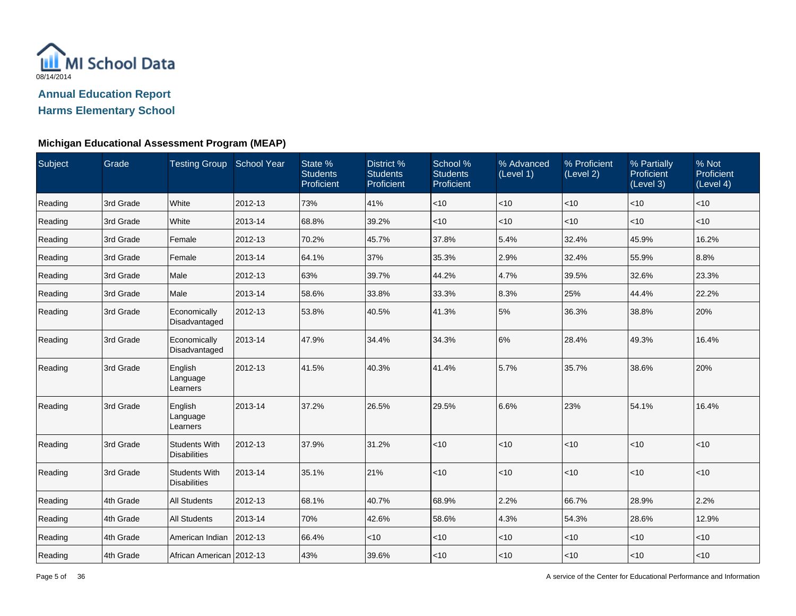

| Subject | Grade     | Testing Group School Year                   |         | State %<br><b>Students</b><br>Proficient | District %<br><b>Students</b><br>Proficient | School %<br><b>Students</b><br>Proficient | % Advanced<br>(Level 1) | % Proficient<br>(Level 2) | % Partially<br>Proficient<br>(Level 3) | % Not<br>Proficient<br>(Level 4) |
|---------|-----------|---------------------------------------------|---------|------------------------------------------|---------------------------------------------|-------------------------------------------|-------------------------|---------------------------|----------------------------------------|----------------------------------|
| Reading | 3rd Grade | White                                       | 2012-13 | 73%                                      | 41%                                         | <10                                       | $<$ 10                  | <10                       | <10                                    | $<$ 10                           |
| Reading | 3rd Grade | White                                       | 2013-14 | 68.8%                                    | 39.2%                                       | ~10                                       | < 10                    | $<$ 10                    | $<$ 10                                 | $<$ 10                           |
| Reading | 3rd Grade | Female                                      | 2012-13 | 70.2%                                    | 45.7%                                       | 37.8%                                     | 5.4%                    | 32.4%                     | 45.9%                                  | 16.2%                            |
| Reading | 3rd Grade | Female                                      | 2013-14 | 64.1%                                    | 37%                                         | 35.3%                                     | 2.9%                    | 32.4%                     | 55.9%                                  | 8.8%                             |
| Reading | 3rd Grade | Male                                        | 2012-13 | 63%                                      | 39.7%                                       | 44.2%                                     | 4.7%                    | 39.5%                     | 32.6%                                  | 23.3%                            |
| Reading | 3rd Grade | Male                                        | 2013-14 | 58.6%                                    | 33.8%                                       | 33.3%                                     | 8.3%                    | 25%                       | 44.4%                                  | 22.2%                            |
| Reading | 3rd Grade | Economically<br>Disadvantaged               | 2012-13 | 53.8%                                    | 40.5%                                       | 41.3%                                     | 5%                      | 36.3%                     | 38.8%                                  | 20%                              |
| Reading | 3rd Grade | Economically<br>Disadvantaged               | 2013-14 | 47.9%                                    | 34.4%                                       | 34.3%                                     | 6%                      | 28.4%                     | 49.3%                                  | 16.4%                            |
| Reading | 3rd Grade | English<br>Language<br>Learners             | 2012-13 | 41.5%                                    | 40.3%                                       | 41.4%                                     | 5.7%                    | 35.7%                     | 38.6%                                  | 20%                              |
| Reading | 3rd Grade | English<br>Language<br>Learners             | 2013-14 | 37.2%                                    | 26.5%                                       | 29.5%                                     | 6.6%                    | 23%                       | 54.1%                                  | 16.4%                            |
| Reading | 3rd Grade | <b>Students With</b><br><b>Disabilities</b> | 2012-13 | 37.9%                                    | 31.2%                                       | $<10$                                     | $<$ 10                  | <10                       | $<$ 10                                 | < 10                             |
| Reading | 3rd Grade | <b>Students With</b><br><b>Disabilities</b> | 2013-14 | 35.1%                                    | 21%                                         | < 10                                      | $<$ 10                  | $ $ < 10                  | < 10                                   | $<$ 10                           |
| Reading | 4th Grade | <b>All Students</b>                         | 2012-13 | 68.1%                                    | 40.7%                                       | 68.9%                                     | 2.2%                    | 66.7%                     | 28.9%                                  | 2.2%                             |
| Reading | 4th Grade | <b>All Students</b>                         | 2013-14 | 70%                                      | 42.6%                                       | 58.6%                                     | 4.3%                    | 54.3%                     | 28.6%                                  | 12.9%                            |
| Reading | 4th Grade | American Indian                             | 2012-13 | 66.4%                                    | $<$ 10                                      | ~10                                       | $<$ 10                  | $<$ 10                    | $<$ 10                                 | $<$ 10                           |
| Reading | 4th Grade | African American 2012-13                    |         | 43%                                      | 39.6%                                       | $<10$                                     | < 10                    | $<$ 10                    | $<$ 10                                 | $<$ 10                           |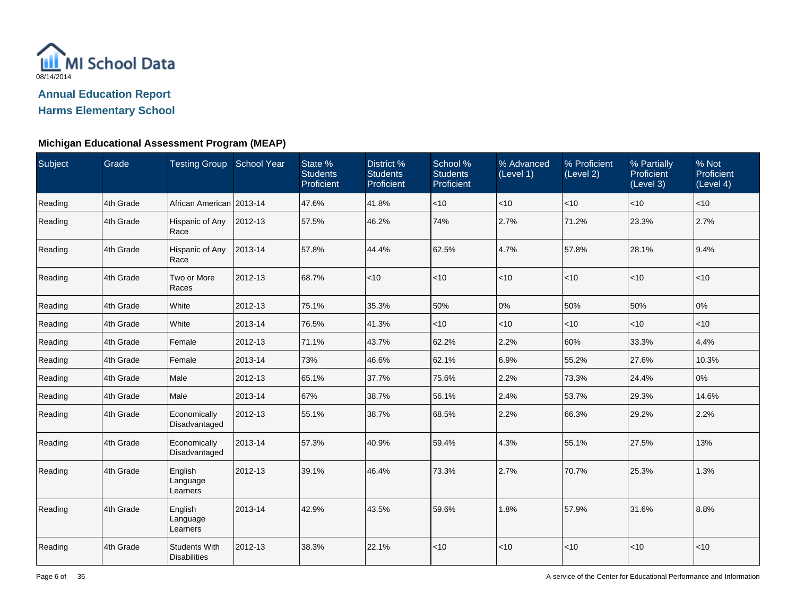

| Subject | Grade     | Testing Group School Year                   |         | State %<br><b>Students</b><br>Proficient | District %<br><b>Students</b><br>Proficient | School %<br><b>Students</b><br>Proficient | % Advanced<br>(Level 1) | % Proficient<br>(Level 2) | % Partially<br>Proficient<br>(Level 3) | % Not<br>Proficient<br>(Level 4) |
|---------|-----------|---------------------------------------------|---------|------------------------------------------|---------------------------------------------|-------------------------------------------|-------------------------|---------------------------|----------------------------------------|----------------------------------|
| Reading | 4th Grade | African American 2013-14                    |         | 47.6%                                    | 41.8%                                       | < 10                                      | $<$ 10                  | <10                       | $<$ 10                                 | $<$ 10                           |
| Reading | 4th Grade | Hispanic of Any<br>Race                     | 2012-13 | 57.5%                                    | 46.2%                                       | 74%                                       | 2.7%                    | 71.2%                     | 23.3%                                  | 2.7%                             |
| Reading | 4th Grade | Hispanic of Any<br>Race                     | 2013-14 | 57.8%                                    | 44.4%                                       | 62.5%                                     | 4.7%                    | 57.8%                     | 28.1%                                  | 9.4%                             |
| Reading | 4th Grade | Two or More<br>Races                        | 2012-13 | 68.7%                                    | $ $ < 10                                    | < 10                                      | $<$ 10                  | < 10                      | < 10                                   | $<$ 10                           |
| Reading | 4th Grade | White                                       | 2012-13 | 75.1%                                    | 35.3%                                       | 50%                                       | 0%                      | 50%                       | 50%                                    | 0%                               |
| Reading | 4th Grade | White                                       | 2013-14 | 76.5%                                    | 41.3%                                       | $<$ 10                                    | $<$ 10                  | $<$ 10                    | $<$ 10                                 | $<$ 10                           |
| Reading | 4th Grade | Female                                      | 2012-13 | 71.1%                                    | 43.7%                                       | 62.2%                                     | 2.2%                    | 60%                       | 33.3%                                  | 4.4%                             |
| Reading | 4th Grade | Female                                      | 2013-14 | 73%                                      | 46.6%                                       | 62.1%                                     | 6.9%                    | 55.2%                     | 27.6%                                  | 10.3%                            |
| Reading | 4th Grade | Male                                        | 2012-13 | 65.1%                                    | 37.7%                                       | 75.6%                                     | 2.2%                    | 73.3%                     | 24.4%                                  | $0\%$                            |
| Reading | 4th Grade | Male                                        | 2013-14 | 67%                                      | 38.7%                                       | 56.1%                                     | 2.4%                    | 53.7%                     | 29.3%                                  | 14.6%                            |
| Reading | 4th Grade | Economically<br>Disadvantaged               | 2012-13 | 55.1%                                    | 38.7%                                       | 68.5%                                     | 2.2%                    | 66.3%                     | 29.2%                                  | 2.2%                             |
| Reading | 4th Grade | Economically<br>Disadvantaged               | 2013-14 | 57.3%                                    | 40.9%                                       | 59.4%                                     | 4.3%                    | 55.1%                     | 27.5%                                  | 13%                              |
| Reading | 4th Grade | English<br>Language<br>Learners             | 2012-13 | 39.1%                                    | 46.4%                                       | 73.3%                                     | 2.7%                    | 70.7%                     | 25.3%                                  | 1.3%                             |
| Reading | 4th Grade | English<br>Language<br>Learners             | 2013-14 | 42.9%                                    | 43.5%                                       | 59.6%                                     | 1.8%                    | 57.9%                     | 31.6%                                  | 8.8%                             |
| Reading | 4th Grade | <b>Students With</b><br><b>Disabilities</b> | 2012-13 | 38.3%                                    | 22.1%                                       | <10                                       | < 10                    | <10                       | <10                                    | < 10                             |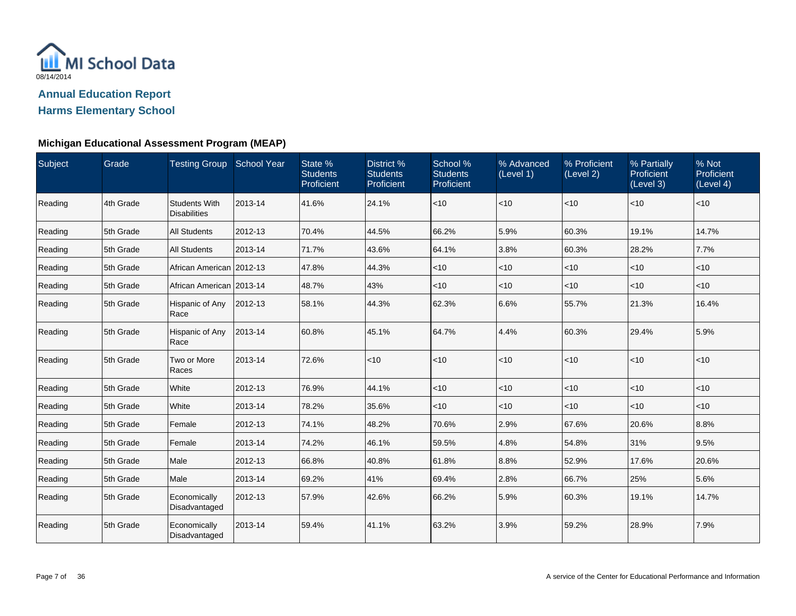

| Subject | Grade     | Testing Group School Year                   |         | State %<br><b>Students</b><br>Proficient | District %<br><b>Students</b><br>Proficient | School %<br><b>Students</b><br>Proficient | % Advanced<br>(Level 1) | % Proficient<br>(Level 2) | % Partially<br>Proficient<br>(Level 3) | % Not<br>Proficient<br>(Level 4) |
|---------|-----------|---------------------------------------------|---------|------------------------------------------|---------------------------------------------|-------------------------------------------|-------------------------|---------------------------|----------------------------------------|----------------------------------|
| Reading | 4th Grade | <b>Students With</b><br><b>Disabilities</b> | 2013-14 | 41.6%                                    | 24.1%                                       | $<$ 10                                    | $<$ 10                  | $<$ 10                    | $<$ 10                                 | $<$ 10                           |
| Reading | 5th Grade | <b>All Students</b>                         | 2012-13 | 70.4%                                    | 44.5%                                       | 66.2%                                     | 5.9%                    | 60.3%                     | 19.1%                                  | 14.7%                            |
| Reading | 5th Grade | <b>All Students</b>                         | 2013-14 | 71.7%                                    | 43.6%                                       | 64.1%                                     | 3.8%                    | 60.3%                     | 28.2%                                  | 7.7%                             |
| Reading | 5th Grade | African American   2012-13                  |         | 47.8%                                    | 44.3%                                       | $<$ 10                                    | <10                     | $<$ 10                    | $<$ 10                                 | $<$ 10                           |
| Reading | 5th Grade | African American   2013-14                  |         | 48.7%                                    | 43%                                         | $<$ 10                                    | <10                     | $<$ 10                    | $<$ 10                                 | $<$ 10                           |
| Reading | 5th Grade | Hispanic of Any<br>Race                     | 2012-13 | 58.1%                                    | 44.3%                                       | 62.3%                                     | 6.6%                    | 55.7%                     | 21.3%                                  | 16.4%                            |
| Reading | 5th Grade | Hispanic of Any<br>Race                     | 2013-14 | 60.8%                                    | 45.1%                                       | 64.7%                                     | 4.4%                    | 60.3%                     | 29.4%                                  | 5.9%                             |
| Reading | 5th Grade | Two or More<br>Races                        | 2013-14 | 72.6%                                    | $ $ < 10                                    | < 10                                      | $<$ 10                  | $<$ 10                    | < 10                                   | $<$ 10                           |
| Reading | 5th Grade | White                                       | 2012-13 | 76.9%                                    | 44.1%                                       | $<$ 10                                    | $<$ 10                  | $<$ 10                    | $<$ 10                                 | $<$ 10                           |
| Reading | 5th Grade | White                                       | 2013-14 | 78.2%                                    | 35.6%                                       | < 10                                      | $<$ 10                  | $<$ 10                    | $<$ 10                                 | $<$ 10                           |
| Reading | 5th Grade | Female                                      | 2012-13 | 74.1%                                    | 48.2%                                       | 70.6%                                     | 2.9%                    | 67.6%                     | 20.6%                                  | 8.8%                             |
| Reading | 5th Grade | Female                                      | 2013-14 | 74.2%                                    | 46.1%                                       | 59.5%                                     | 4.8%                    | 54.8%                     | 31%                                    | 9.5%                             |
| Reading | 5th Grade | Male                                        | 2012-13 | 66.8%                                    | 40.8%                                       | 61.8%                                     | 8.8%                    | 52.9%                     | 17.6%                                  | 20.6%                            |
| Reading | 5th Grade | Male                                        | 2013-14 | 69.2%                                    | 41%                                         | 69.4%                                     | 2.8%                    | 66.7%                     | 25%                                    | 5.6%                             |
| Reading | 5th Grade | Economically<br>Disadvantaged               | 2012-13 | 57.9%                                    | 42.6%                                       | 66.2%                                     | 5.9%                    | 60.3%                     | 19.1%                                  | 14.7%                            |
| Reading | 5th Grade | Economically<br>Disadvantaged               | 2013-14 | 59.4%                                    | 41.1%                                       | 63.2%                                     | 3.9%                    | 59.2%                     | 28.9%                                  | 7.9%                             |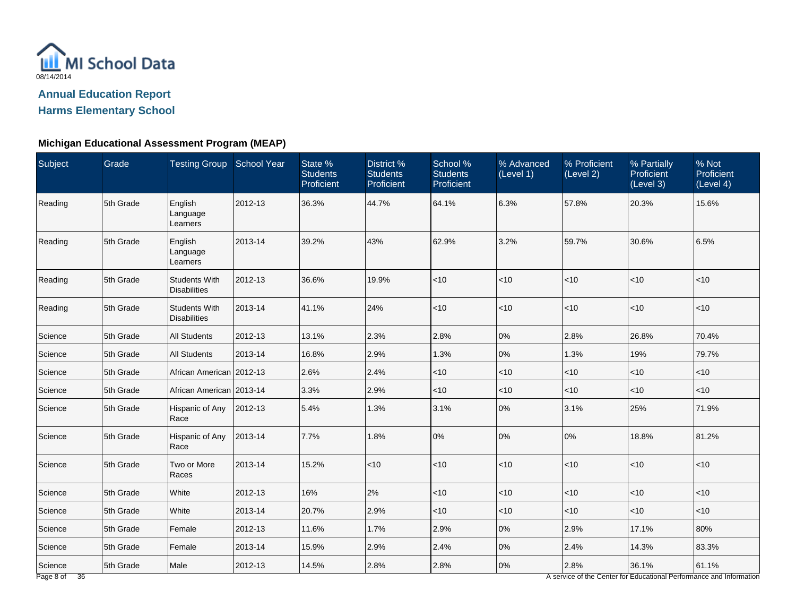

# **Michigan Educational Assessment Program (MEAP)**

| Subject | Grade     | Testing Group School Year                   |         | State %<br><b>Students</b><br>Proficient | District %<br><b>Students</b><br>Proficient | School %<br><b>Students</b><br>Proficient | % Advanced<br>(Level 1) | % Proficient<br>(Level 2) | % Partially<br><b>Proficient</b><br>(Level 3) | % Not<br>Proficient<br>(Level 4) |
|---------|-----------|---------------------------------------------|---------|------------------------------------------|---------------------------------------------|-------------------------------------------|-------------------------|---------------------------|-----------------------------------------------|----------------------------------|
| Reading | 5th Grade | English<br>Language<br>Learners             | 2012-13 | 36.3%                                    | 44.7%                                       | 64.1%                                     | 6.3%                    | 57.8%                     | 20.3%                                         | 15.6%                            |
| Reading | 5th Grade | English<br>Language<br>Learners             | 2013-14 | 39.2%                                    | 43%                                         | 62.9%                                     | 3.2%                    | 59.7%                     | 30.6%                                         | 6.5%                             |
| Reading | 5th Grade | <b>Students With</b><br><b>Disabilities</b> | 2012-13 | 36.6%                                    | 19.9%                                       | $<10$                                     | $<$ 10                  | $<$ 10                    | < 10                                          | < 10                             |
| Reading | 5th Grade | <b>Students With</b><br><b>Disabilities</b> | 2013-14 | 41.1%                                    | 24%                                         | $<10$                                     | < 10                    | $<$ 10                    | $<$ 10                                        | $<$ 10                           |
| Science | 5th Grade | <b>All Students</b>                         | 2012-13 | 13.1%                                    | 2.3%                                        | 2.8%                                      | 0%                      | 2.8%                      | 26.8%                                         | 70.4%                            |
| Science | 5th Grade | <b>All Students</b>                         | 2013-14 | 16.8%                                    | 2.9%                                        | 1.3%                                      | 0%                      | 1.3%                      | 19%                                           | 79.7%                            |
| Science | 5th Grade | African American 2012-13                    |         | 2.6%                                     | 2.4%                                        | $<10$                                     | $<$ 10                  | $<$ 10                    | $<$ 10                                        | $<$ 10                           |
| Science | 5th Grade | African American 2013-14                    |         | 3.3%                                     | 2.9%                                        | ~10                                       | < 10                    | $<$ 10                    | $<$ 10                                        | $<$ 10                           |
| Science | 5th Grade | Hispanic of Any<br>Race                     | 2012-13 | 5.4%                                     | 1.3%                                        | 3.1%                                      | 0%                      | 3.1%                      | 25%                                           | 71.9%                            |
| Science | 5th Grade | Hispanic of Any<br>Race                     | 2013-14 | 7.7%                                     | 1.8%                                        | 0%                                        | 0%                      | 0%                        | 18.8%                                         | 81.2%                            |
| Science | 5th Grade | Two or More<br>Races                        | 2013-14 | 15.2%                                    | $ $ < 10                                    | $<10$                                     | < 10                    | $<$ 10                    | $<$ 10                                        | $<$ 10                           |
| Science | 5th Grade | White                                       | 2012-13 | 16%                                      | 2%                                          | $<$ 10                                    | $<$ 10                  | $<$ 10                    | $<$ 10                                        | $<$ 10                           |
| Science | 5th Grade | White                                       | 2013-14 | 20.7%                                    | 2.9%                                        | $<10$                                     | $<$ 10                  | $<$ 10                    | $<$ 10                                        | $<$ 10                           |
| Science | 5th Grade | Female                                      | 2012-13 | 11.6%                                    | 1.7%                                        | 2.9%                                      | 0%                      | 2.9%                      | 17.1%                                         | 80%                              |
| Science | 5th Grade | Female                                      | 2013-14 | 15.9%                                    | 2.9%                                        | 2.4%                                      | 0%                      | 2.4%                      | 14.3%                                         | 83.3%                            |
| Science | 5th Grade | Male                                        | 2012-13 | 14.5%                                    | 2.8%                                        | 2.8%                                      | 0%                      | 2.8%                      | 36.1%                                         | 61.1%                            |

A service of the Center for Educational Performance and Information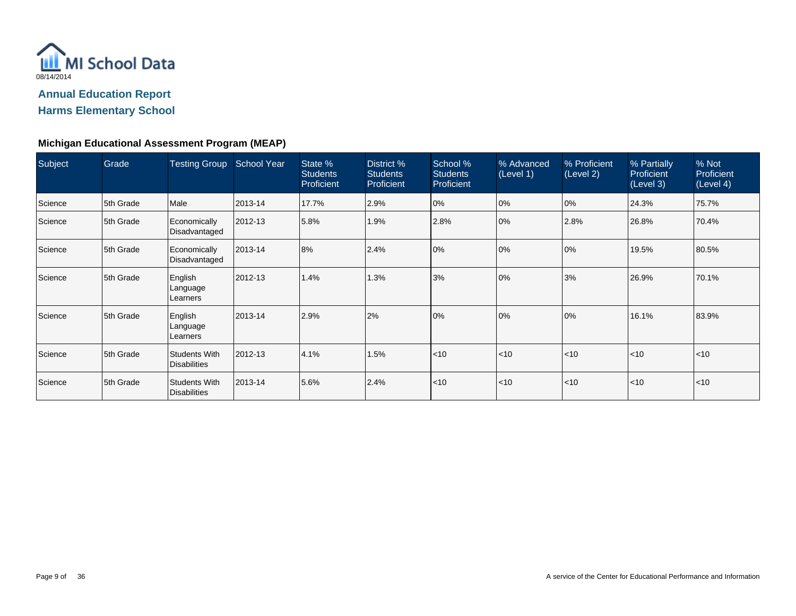

| Subject | Grade     | <b>Testing Group</b>                        | <b>School Year</b> | State %<br><b>Students</b><br>Proficient | District %<br><b>Students</b><br>Proficient | School %<br><b>Students</b><br>Proficient | % Advanced<br>(Level 1) | % Proficient<br>(Level 2) | % Partially<br>Proficient<br>(Level 3) | % Not<br>Proficient<br>(Level 4) |
|---------|-----------|---------------------------------------------|--------------------|------------------------------------------|---------------------------------------------|-------------------------------------------|-------------------------|---------------------------|----------------------------------------|----------------------------------|
| Science | 5th Grade | Male                                        | 2013-14            | 17.7%                                    | 2.9%                                        | 0%                                        | 0%                      | 0%                        | 24.3%                                  | 75.7%                            |
| Science | 5th Grade | Economically<br>Disadvantaged               | 2012-13            | 5.8%                                     | 1.9%                                        | 2.8%                                      | 0%                      | 2.8%                      | 26.8%                                  | 70.4%                            |
| Science | 5th Grade | Economically<br>Disadvantaged               | 2013-14            | 8%                                       | 2.4%                                        | 0%                                        | 0%                      | 0%                        | 19.5%                                  | 80.5%                            |
| Science | 5th Grade | English<br>Language<br>Learners             | 2012-13            | 1.4%                                     | 1.3%                                        | 3%                                        | 0%                      | 3%                        | 26.9%                                  | 70.1%                            |
| Science | 5th Grade | English<br>Language<br>Learners             | 2013-14            | 2.9%                                     | 2%                                          | 0%                                        | 0%                      | 0%                        | 16.1%                                  | 83.9%                            |
| Science | 5th Grade | Students With<br><b>Disabilities</b>        | 2012-13            | 4.1%                                     | 1.5%                                        | < 10                                      | $ $ < 10                | < 10                      | < 10                                   | $ $ < 10                         |
| Science | 5th Grade | <b>Students With</b><br><b>Disabilities</b> | 2013-14            | 5.6%                                     | 2.4%                                        | < 10                                      | $ $ < 10                | < 10                      | $ $ < 10                               | $ $ < 10                         |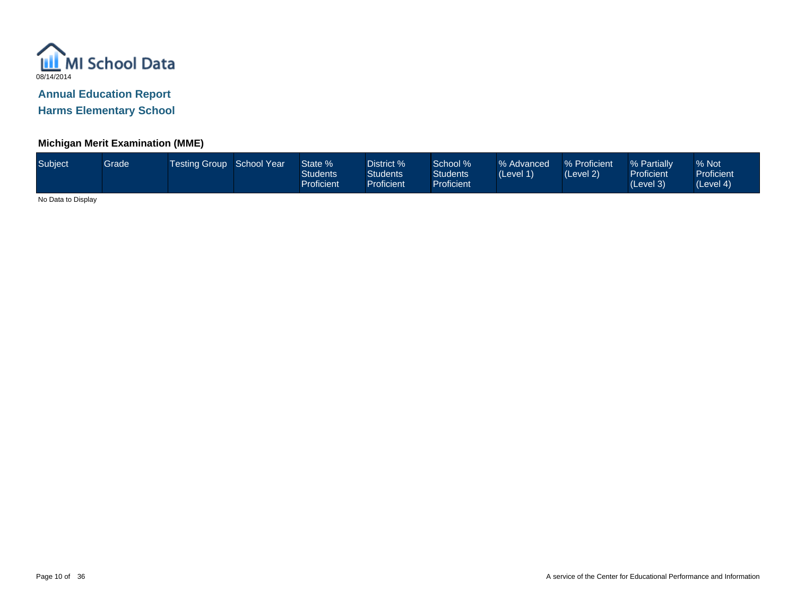

## **Michigan Merit Examination (MME)**

| Subject <sup>1</sup><br>Grade | <b>Testing Group School Year</b> |  | State %<br>Students<br>Proficient | District % ່<br><b>Students</b><br><b>Proficient</b> | School %<br><b>Students</b><br><b>Proficient</b> | % Advanced<br>(Level 1) | % Proficient<br>(Level 2) | % Partially<br><b>Proficient</b><br>(Level 3) | % Not<br><b>Proficient</b><br>(Level 4) |
|-------------------------------|----------------------------------|--|-----------------------------------|------------------------------------------------------|--------------------------------------------------|-------------------------|---------------------------|-----------------------------------------------|-----------------------------------------|
|-------------------------------|----------------------------------|--|-----------------------------------|------------------------------------------------------|--------------------------------------------------|-------------------------|---------------------------|-----------------------------------------------|-----------------------------------------|

No Data to Display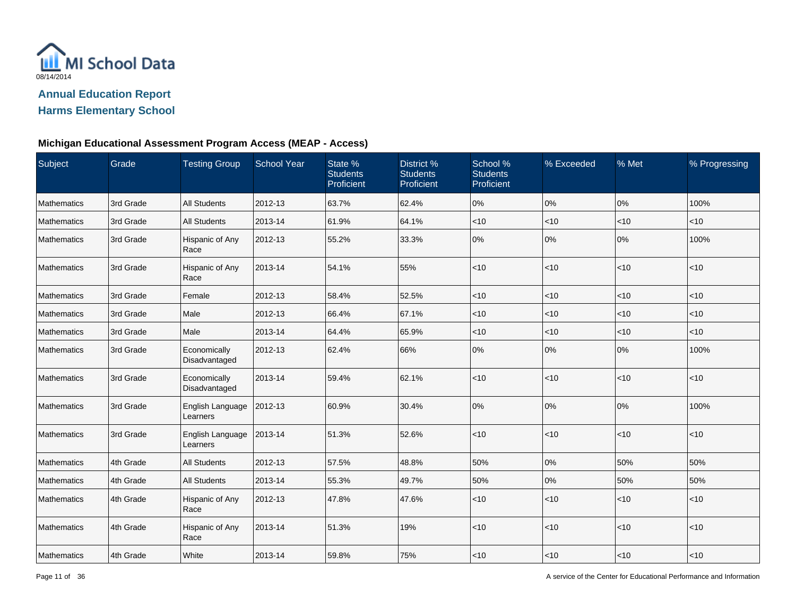

## **Michigan Educational Assessment Program Access (MEAP - Access)**

| Subject     | Grade     | <b>Testing Group</b>          | <b>School Year</b> | State %<br><b>Students</b><br>Proficient | District %<br><b>Students</b><br>Proficient | School %<br><b>Students</b><br>Proficient | % Exceeded | % Met | % Progressing |
|-------------|-----------|-------------------------------|--------------------|------------------------------------------|---------------------------------------------|-------------------------------------------|------------|-------|---------------|
| Mathematics | 3rd Grade | <b>All Students</b>           | 2012-13            | 63.7%                                    | 62.4%                                       | 0%                                        | 0%         | 0%    | 100%          |
| Mathematics | 3rd Grade | All Students                  | 2013-14            | 61.9%                                    | 64.1%                                       | $<$ 10                                    | $<$ 10     | < 10  | $<$ 10        |
| Mathematics | 3rd Grade | Hispanic of Any<br>Race       | 2012-13            | 55.2%                                    | 33.3%                                       | 0%                                        | 0%         | 0%    | 100%          |
| Mathematics | 3rd Grade | Hispanic of Any<br>Race       | 2013-14            | 54.1%                                    | 55%                                         | $<$ 10                                    | $<$ 10     | < 10  | < 10          |
| Mathematics | 3rd Grade | Female                        | 2012-13            | 58.4%                                    | 52.5%                                       | $<$ 10                                    | $<$ 10     | < 10  | < 10          |
| Mathematics | 3rd Grade | Male                          | 2012-13            | 66.4%                                    | 67.1%                                       | $<$ 10                                    | < 10       | < 10  | $<$ 10        |
| Mathematics | 3rd Grade | Male                          | 2013-14            | 64.4%                                    | 65.9%                                       | $<$ 10                                    | $<$ 10     | < 10  | $<$ 10        |
| Mathematics | 3rd Grade | Economically<br>Disadvantaged | 2012-13            | 62.4%                                    | 66%                                         | 0%                                        | 0%         | 0%    | 100%          |
| Mathematics | 3rd Grade | Economically<br>Disadvantaged | 2013-14            | 59.4%                                    | 62.1%                                       | $<$ 10                                    | $<$ 10     | <10   | $<10$         |
| Mathematics | 3rd Grade | English Language<br>Learners  | 2012-13            | 60.9%                                    | 30.4%                                       | 0%                                        | 0%         | 0%    | 100%          |
| Mathematics | 3rd Grade | English Language<br>Learners  | 2013-14            | 51.3%                                    | 52.6%                                       | $<$ 10                                    | < 10       | < 10  | $<$ 10        |
| Mathematics | 4th Grade | <b>All Students</b>           | 2012-13            | 57.5%                                    | 48.8%                                       | 50%                                       | 0%         | 50%   | 50%           |
| Mathematics | 4th Grade | <b>All Students</b>           | 2013-14            | 55.3%                                    | 49.7%                                       | 50%                                       | 0%         | 50%   | 50%           |
| Mathematics | 4th Grade | Hispanic of Any<br>Race       | 2012-13            | 47.8%                                    | 47.6%                                       | $<$ 10                                    | < 10       | < 10  | $<10$         |
| Mathematics | 4th Grade | Hispanic of Any<br>Race       | 2013-14            | 51.3%                                    | 19%                                         | $<$ 10                                    | $<$ 10     | <10   | < 10          |
| Mathematics | 4th Grade | White                         | 2013-14            | 59.8%                                    | 75%                                         | $<$ 10                                    | $<10$      | < 10  | $<10$         |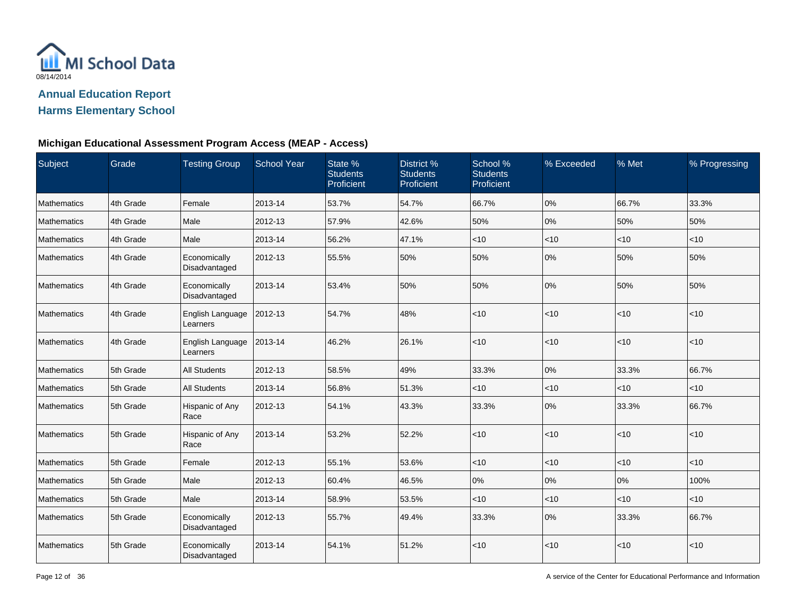

## **Michigan Educational Assessment Program Access (MEAP - Access)**

| Subject     | Grade     | <b>Testing Group</b>          | <b>School Year</b> | State %<br><b>Students</b><br>Proficient | District %<br><b>Students</b><br>Proficient | School %<br><b>Students</b><br>Proficient | % Exceeded | % Met  | % Progressing |
|-------------|-----------|-------------------------------|--------------------|------------------------------------------|---------------------------------------------|-------------------------------------------|------------|--------|---------------|
| Mathematics | 4th Grade | Female                        | 2013-14            | 53.7%                                    | 54.7%                                       | 66.7%                                     | 0%         | 66.7%  | 33.3%         |
| Mathematics | 4th Grade | Male                          | 2012-13            | 57.9%                                    | 42.6%                                       | 50%                                       | 0%         | 50%    | 50%           |
| Mathematics | 4th Grade | Male                          | 2013-14            | 56.2%                                    | 47.1%                                       | $<$ 10                                    | $<$ 10     | < 10   | < 10          |
| Mathematics | 4th Grade | Economically<br>Disadvantaged | 2012-13            | 55.5%                                    | 50%                                         | 50%                                       | 0%         | 50%    | 50%           |
| Mathematics | 4th Grade | Economically<br>Disadvantaged | 2013-14            | 53.4%                                    | 50%                                         | 50%                                       | 0%         | 50%    | 50%           |
| Mathematics | 4th Grade | English Language<br>Learners  | 2012-13            | 54.7%                                    | 48%                                         | $<$ 10                                    | < 10       | < 10   | < 10          |
| Mathematics | 4th Grade | English Language<br>Learners  | 2013-14            | 46.2%                                    | 26.1%                                       | $<$ 10                                    | < 10       | < 10   | < 10          |
| Mathematics | 5th Grade | <b>All Students</b>           | 2012-13            | 58.5%                                    | 49%                                         | 33.3%                                     | 0%         | 33.3%  | 66.7%         |
| Mathematics | 5th Grade | <b>All Students</b>           | 2013-14            | 56.8%                                    | 51.3%                                       | $<$ 10                                    | $<$ 10     | $<$ 10 | < 10          |
| Mathematics | 5th Grade | Hispanic of Any<br>Race       | 2012-13            | 54.1%                                    | 43.3%                                       | 33.3%                                     | 0%         | 33.3%  | 66.7%         |
| Mathematics | 5th Grade | Hispanic of Any<br>Race       | 2013-14            | 53.2%                                    | 52.2%                                       | $<$ 10                                    | < 10       | < 10   | < 10          |
| Mathematics | 5th Grade | Female                        | 2012-13            | 55.1%                                    | 53.6%                                       | $<$ 10                                    | < 10       | < 10   | $<$ 10        |
| Mathematics | 5th Grade | Male                          | 2012-13            | 60.4%                                    | 46.5%                                       | 0%                                        | 0%         | 0%     | 100%          |
| Mathematics | 5th Grade | Male                          | 2013-14            | 58.9%                                    | 53.5%                                       | $<$ 10                                    | < 10       | < 10   | $<$ 10        |
| Mathematics | 5th Grade | Economically<br>Disadvantaged | 2012-13            | 55.7%                                    | 49.4%                                       | 33.3%                                     | 0%         | 33.3%  | 66.7%         |
| Mathematics | 5th Grade | Economically<br>Disadvantaged | 2013-14            | 54.1%                                    | 51.2%                                       | < 10                                      | < 10       | <10    | < 10          |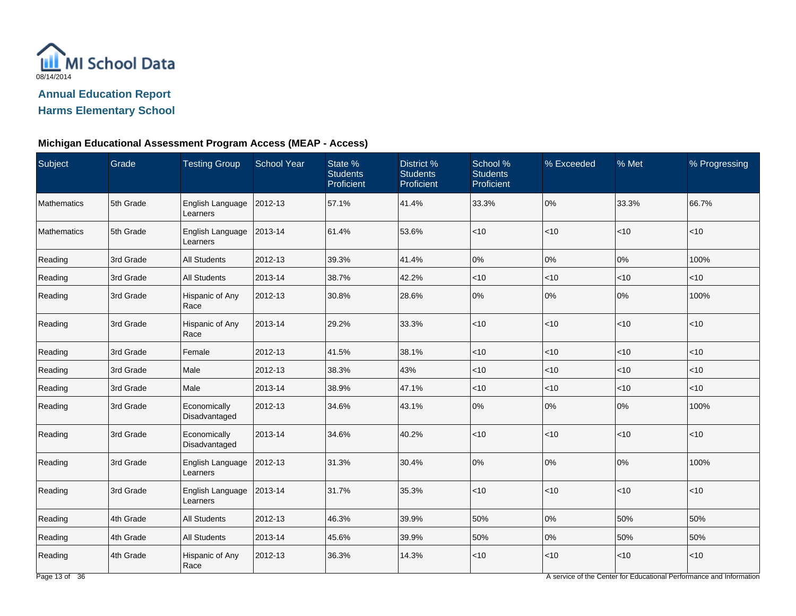

## **Michigan Educational Assessment Program Access (MEAP - Access)**

| Subject     | Grade     | <b>Testing Group</b>          | <b>School Year</b> | State %<br><b>Students</b><br>Proficient | District %<br><b>Students</b><br>Proficient | School %<br><b>Students</b><br>Proficient | % Exceeded | % Met    | % Progressing |
|-------------|-----------|-------------------------------|--------------------|------------------------------------------|---------------------------------------------|-------------------------------------------|------------|----------|---------------|
| Mathematics | 5th Grade | English Language<br>Learners  | 2012-13            | 57.1%                                    | 41.4%                                       | 33.3%                                     | 0%         | 33.3%    | 66.7%         |
| Mathematics | 5th Grade | English Language<br>Learners  | 2013-14            | 61.4%                                    | 53.6%                                       | <10                                       | $<$ 10     | < 10     | $<10$         |
| Reading     | 3rd Grade | <b>All Students</b>           | 2012-13            | 39.3%                                    | 41.4%                                       | 0%                                        | $0\%$      | 0%       | 100%          |
| Reading     | 3rd Grade | All Students                  | 2013-14            | 38.7%                                    | 42.2%                                       | $<$ 10                                    | $<$ 10     | < 10     | <10           |
| Reading     | 3rd Grade | Hispanic of Any<br>Race       | 2012-13            | 30.8%                                    | 28.6%                                       | 0%                                        | $0\%$      | 0%       | 100%          |
| Reading     | 3rd Grade | Hispanic of Any<br>Race       | 2013-14            | 29.2%                                    | 33.3%                                       | $<$ 10                                    | $<$ 10     | $ $ < 10 | < 10          |
| Reading     | 3rd Grade | Female                        | 2012-13            | 41.5%                                    | 38.1%                                       | $<$ 10                                    | $<$ 10     | $<$ 10   | $<$ 10        |
| Reading     | 3rd Grade | Male                          | 2012-13            | 38.3%                                    | 43%                                         | < 10                                      | $<$ 10     | $ $ < 10 | < 10          |
| Reading     | 3rd Grade | Male                          | 2013-14            | 38.9%                                    | 47.1%                                       | $<10$                                     | $<$ 10     | $<10$    | $<10$         |
| Reading     | 3rd Grade | Economically<br>Disadvantaged | 2012-13            | 34.6%                                    | 43.1%                                       | $0\%$                                     | $0\%$      | 0%       | 100%          |
| Reading     | 3rd Grade | Economically<br>Disadvantaged | 2013-14            | 34.6%                                    | 40.2%                                       | <10                                       | $<$ 10     | < 10     | < 10          |
| Reading     | 3rd Grade | English Language<br>Learners  | 2012-13            | 31.3%                                    | 30.4%                                       | 0%                                        | $0\%$      | 0%       | 100%          |
| Reading     | 3rd Grade | English Language<br>Learners  | 2013-14            | 31.7%                                    | 35.3%                                       | $<$ 10                                    | $<$ 10     | < 10     | $<$ 10        |
| Reading     | 4th Grade | <b>All Students</b>           | 2012-13            | 46.3%                                    | 39.9%                                       | 50%                                       | 0%         | 50%      | 50%           |
| Reading     | 4th Grade | <b>All Students</b>           | 2013-14            | 45.6%                                    | 39.9%                                       | 50%                                       | 0%         | 50%      | 50%           |
| Reading     | 4th Grade | Hispanic of Any<br>Race       | 2012-13            | 36.3%                                    | 14.3%                                       | $<10$                                     | $<$ 10     | $<10$    | < 10          |

A service of the Center for Educational Performance and Information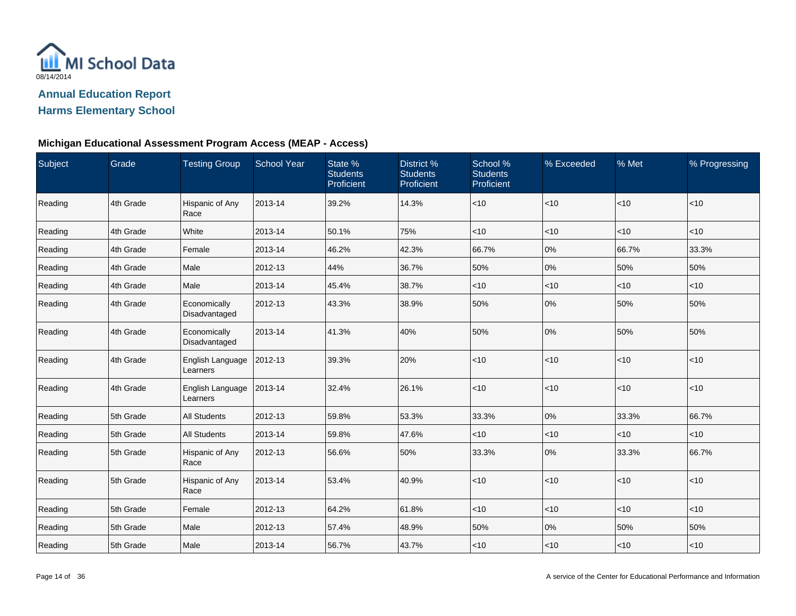

## **Michigan Educational Assessment Program Access (MEAP - Access)**

| Subject | Grade     | <b>Testing Group</b>          | <b>School Year</b> | State %<br><b>Students</b><br>Proficient | District %<br><b>Students</b><br>Proficient | School %<br><b>Students</b><br>Proficient | % Exceeded | % Met        | % Progressing |
|---------|-----------|-------------------------------|--------------------|------------------------------------------|---------------------------------------------|-------------------------------------------|------------|--------------|---------------|
| Reading | 4th Grade | Hispanic of Any<br>Race       | 2013-14            | 39.2%                                    | 14.3%                                       | $<$ 10                                    | $ $ < 10   | $\vert$ < 10 | < 10          |
| Reading | 4th Grade | White                         | 2013-14            | 50.1%                                    | 75%                                         | $<$ 10                                    | $<$ 10     | $<$ 10       | $<$ 10        |
| Reading | 4th Grade | Female                        | 2013-14            | 46.2%                                    | 42.3%                                       | 66.7%                                     | 0%         | 66.7%        | 33.3%         |
| Reading | 4th Grade | Male                          | 2012-13            | 44%                                      | 36.7%                                       | 50%                                       | 0%         | 50%          | 50%           |
| Reading | 4th Grade | Male                          | 2013-14            | 45.4%                                    | 38.7%                                       | $<$ 10                                    | $<$ 10     | $ $ < 10     | $<$ 10        |
| Reading | 4th Grade | Economically<br>Disadvantaged | 2012-13            | 43.3%                                    | 38.9%                                       | 50%                                       | 0%         | 50%          | 50%           |
| Reading | 4th Grade | Economically<br>Disadvantaged | 2013-14            | 41.3%                                    | 40%                                         | 50%                                       | 0%         | 50%          | 50%           |
| Reading | 4th Grade | English Language<br>Learners  | 2012-13            | 39.3%                                    | 20%                                         | $<10$                                     | $ $ < 10   | $ $ < 10     | $<$ 10        |
| Reading | 4th Grade | English Language<br>Learners  | 2013-14            | 32.4%                                    | 26.1%                                       | < 10                                      | $ $ < 10   | $ $ < 10     | < 10          |
| Reading | 5th Grade | <b>All Students</b>           | 2012-13            | 59.8%                                    | 53.3%                                       | 33.3%                                     | 0%         | 33.3%        | 66.7%         |
| Reading | 5th Grade | <b>All Students</b>           | 2013-14            | 59.8%                                    | 47.6%                                       | $<$ 10                                    | $<$ 10     | $<$ 10       | $<$ 10        |
| Reading | 5th Grade | Hispanic of Any<br>Race       | 2012-13            | 56.6%                                    | 50%                                         | 33.3%                                     | 0%         | 33.3%        | 66.7%         |
| Reading | 5th Grade | Hispanic of Any<br>Race       | 2013-14            | 53.4%                                    | 40.9%                                       | $<$ 10                                    | $ $ < 10   | $\vert$ < 10 | $<$ 10        |
| Reading | 5th Grade | Female                        | 2012-13            | 64.2%                                    | 61.8%                                       | $<$ 10                                    | ~10        | $<$ 10       | $<$ 10        |
| Reading | 5th Grade | Male                          | 2012-13            | 57.4%                                    | 48.9%                                       | 50%                                       | 0%         | 50%          | 50%           |
| Reading | 5th Grade | Male                          | 2013-14            | 56.7%                                    | 43.7%                                       | ~10                                       | $<$ 10     | $ $ < 10     | < 10          |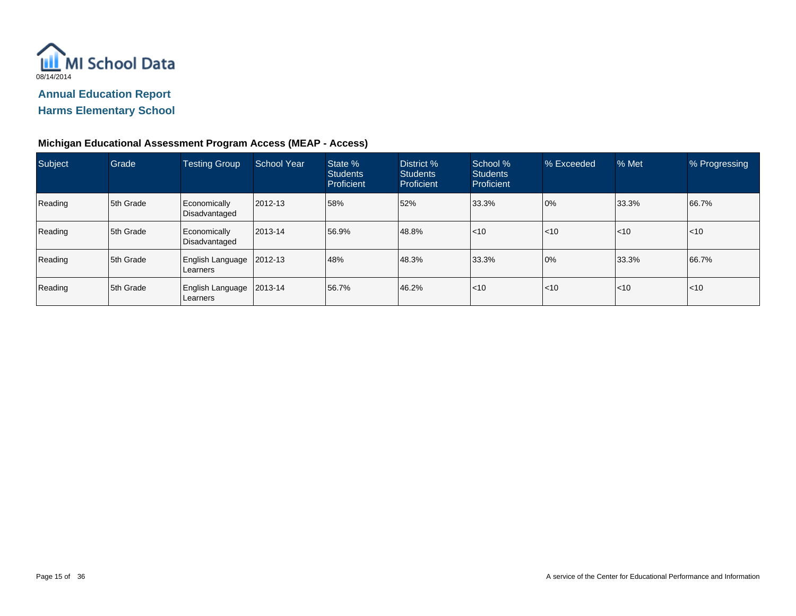

## **Michigan Educational Assessment Program Access (MEAP - Access)**

| Subject | Grade     | <b>Testing Group</b>                       | <b>School Year</b> | State %<br><b>Students</b><br>Proficient | District %<br><b>Students</b><br>Proficient | School %<br><b>Students</b><br>Proficient | % Exceeded | % Met            | % Progressing |
|---------|-----------|--------------------------------------------|--------------------|------------------------------------------|---------------------------------------------|-------------------------------------------|------------|------------------|---------------|
| Reading | 5th Grade | Economically<br>Disadvantaged              | 2012-13            | 58%                                      | 52%                                         | 33.3%                                     | 0%         | 33.3%            | 66.7%         |
| Reading | 5th Grade | Economically<br>Disadvantaged              | 2013-14            | 56.9%                                    | 48.8%                                       | $ $ < 10                                  | < 10       | $\mathsf{I}$ <10 | $\leq 10$     |
| Reading | 5th Grade | <b>English Language</b><br><b>Learners</b> | 2012-13            | 48%                                      | 48.3%                                       | 33.3%                                     | 0%         | 33.3%            | 66.7%         |
| Reading | 5th Grade | <b>English Language</b><br><b>Learners</b> | 2013-14            | 56.7%                                    | 46.2%                                       | $ $ < 10                                  | < 10       | $\mathsf{I}$ <10 | $\leq 10$     |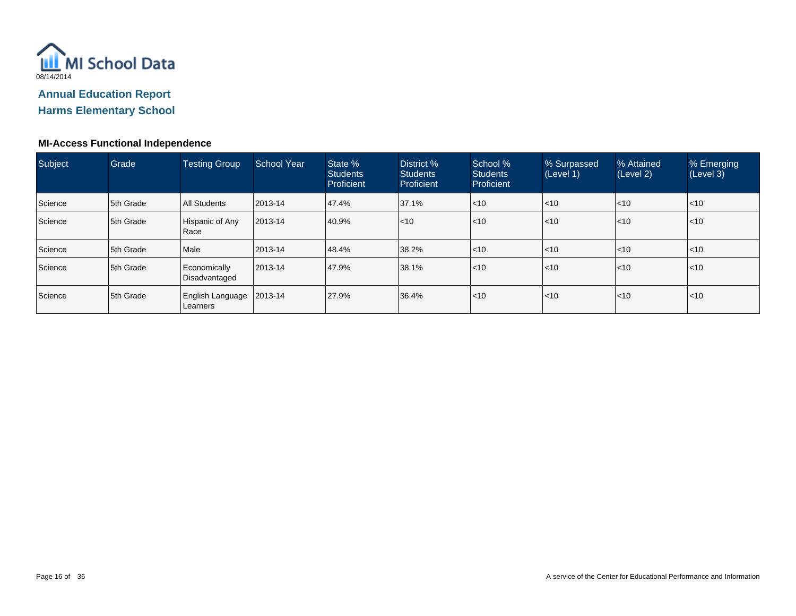

#### **MI-Access Functional Independence**

| Subject | Grade     | <b>Testing Group</b>          | <b>School Year</b> | State %<br><b>Students</b><br>Proficient | District %<br><b>Students</b><br>Proficient | School %<br><b>Students</b><br>Proficient | % Surpassed<br>(Level 1) | % Attained<br>(Level 2) | % Emerging<br>(Level 3) |
|---------|-----------|-------------------------------|--------------------|------------------------------------------|---------------------------------------------|-------------------------------------------|--------------------------|-------------------------|-------------------------|
| Science | 5th Grade | <b>All Students</b>           | 2013-14            | 47.4%                                    | 37.1%                                       | $ $ < 10                                  | $\leq 10$                | $ $ < 10                | $ $ < 10                |
| Science | 5th Grade | Hispanic of Any<br>Race       | 2013-14            | 40.9%                                    | < 10                                        | < 10                                      | $\leq 10$                | l<10                    | $ $ < 10                |
| Science | 5th Grade | Male                          | 2013-14            | 48.4%                                    | 38.2%                                       | $ $ < 10                                  | $\leq 10$                | $ $ < 10                | $\leq 10$               |
| Science | 5th Grade | Economically<br>Disadvantaged | 2013-14            | 47.9%                                    | 38.1%                                       | < 10                                      | $\leq 10$                | $ $ < 10                | $\leq 10$               |
| Science | 5th Grade | English Language<br>Learners  | 2013-14            | 27.9%                                    | 36.4%                                       | < 10                                      | $\leq 10$                | $ $ < 10                | $\leq 10$               |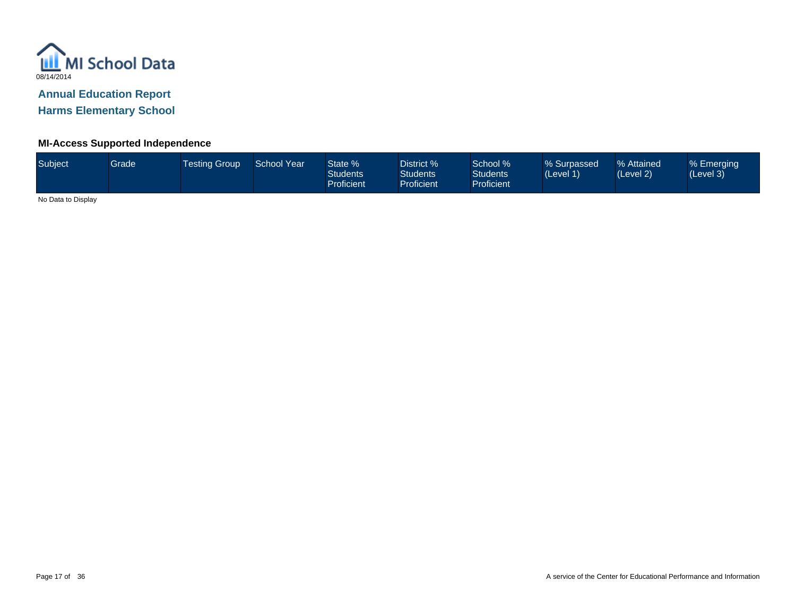

#### **MI-Access Supported Independence**

| Subject | Grade <sup>1</sup> | <b>Testing Group</b> | <b>School Year</b> | State %<br><b>Students</b><br>Proficient | District %<br><b>Students</b><br>Proficient | School %<br><b>Students</b><br><b>Proficient</b> | % Surpassed<br>(Level 1) | % Attained<br>(Level 2) | % Emerging<br>(Level 3) |
|---------|--------------------|----------------------|--------------------|------------------------------------------|---------------------------------------------|--------------------------------------------------|--------------------------|-------------------------|-------------------------|
|         |                    |                      |                    |                                          |                                             |                                                  |                          |                         |                         |

No Data to Display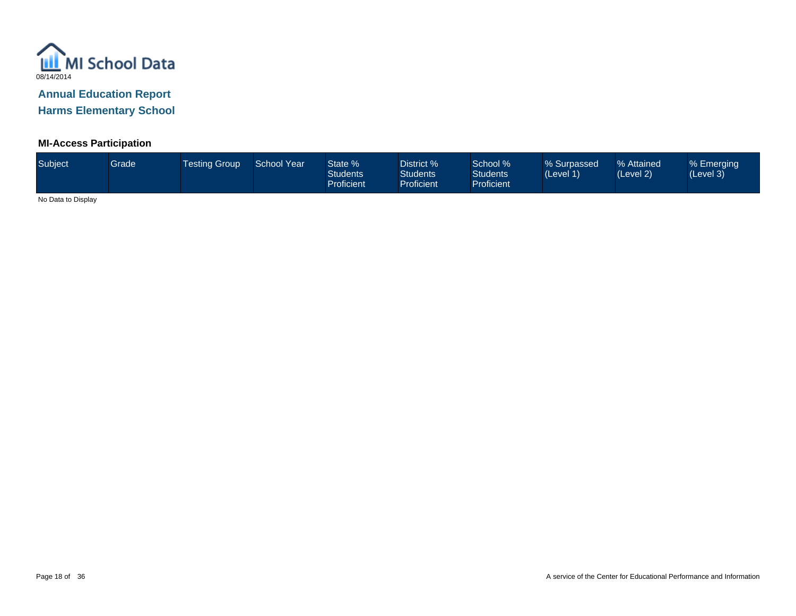

## **MI-Access Participation**

| Subject <sup>1</sup> | <b>Grade</b> | Testina Group | School Year | State %<br><b>Students</b><br><b>Proficient</b> | District %<br><b>Students</b><br>Proficient | School %<br><b>Students</b><br><b>Proficient</b> | % Surpassed<br>(Level 1) | % Attained<br>(Level 2) | % Emerging<br>(Level 3) |
|----------------------|--------------|---------------|-------------|-------------------------------------------------|---------------------------------------------|--------------------------------------------------|--------------------------|-------------------------|-------------------------|
|                      |              |               |             |                                                 |                                             |                                                  |                          |                         |                         |

No Data to Display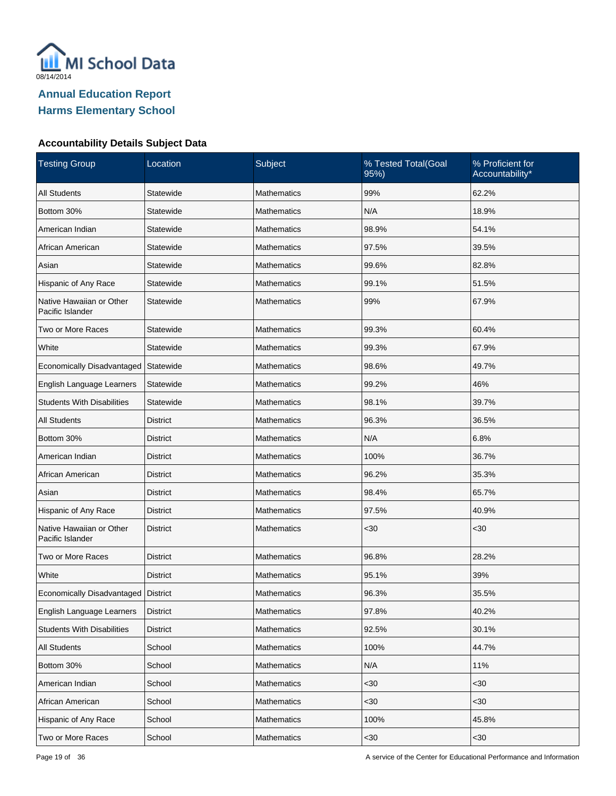

| <b>Testing Group</b>                         | Location        | Subject            | % Tested Total(Goal<br>95%) | % Proficient for<br>Accountability* |
|----------------------------------------------|-----------------|--------------------|-----------------------------|-------------------------------------|
| <b>All Students</b>                          | Statewide       | Mathematics        | 99%                         | 62.2%                               |
| Bottom 30%                                   | Statewide       | <b>Mathematics</b> | N/A                         | 18.9%                               |
| American Indian                              | Statewide       | <b>Mathematics</b> | 98.9%                       | 54.1%                               |
| African American                             | Statewide       | <b>Mathematics</b> | 97.5%                       | 39.5%                               |
| Asian                                        | Statewide       | <b>Mathematics</b> | 99.6%                       | 82.8%                               |
| Hispanic of Any Race                         | Statewide       | <b>Mathematics</b> | 99.1%                       | 51.5%                               |
| Native Hawaiian or Other<br>Pacific Islander | Statewide       | <b>Mathematics</b> | 99%                         | 67.9%                               |
| Two or More Races                            | Statewide       | <b>Mathematics</b> | 99.3%                       | 60.4%                               |
| White                                        | Statewide       | <b>Mathematics</b> | 99.3%                       | 67.9%                               |
| Economically Disadvantaged                   | Statewide       | Mathematics        | 98.6%                       | 49.7%                               |
| English Language Learners                    | Statewide       | <b>Mathematics</b> | 99.2%                       | 46%                                 |
| <b>Students With Disabilities</b>            | Statewide       | <b>Mathematics</b> | 98.1%                       | 39.7%                               |
| <b>All Students</b>                          | <b>District</b> | <b>Mathematics</b> | 96.3%                       | 36.5%                               |
| Bottom 30%                                   | District        | <b>Mathematics</b> | N/A                         | 6.8%                                |
| American Indian                              | <b>District</b> | <b>Mathematics</b> | 100%                        | 36.7%                               |
| African American                             | District        | <b>Mathematics</b> | 96.2%                       | 35.3%                               |
| Asian                                        | <b>District</b> | <b>Mathematics</b> | 98.4%                       | 65.7%                               |
| Hispanic of Any Race                         | District        | Mathematics        | 97.5%                       | 40.9%                               |
| Native Hawaiian or Other<br>Pacific Islander | <b>District</b> | <b>Mathematics</b> | <30                         | $30$                                |
| Two or More Races                            | <b>District</b> | Mathematics        | 96.8%                       | 28.2%                               |
| White                                        | <b>District</b> | <b>Mathematics</b> | 95.1%                       | 39%                                 |
| Economically Disadvantaged   District        |                 | Mathematics        | 96.3%                       | 35.5%                               |
| English Language Learners                    | <b>District</b> | Mathematics        | 97.8%                       | 40.2%                               |
| <b>Students With Disabilities</b>            | <b>District</b> | Mathematics        | 92.5%                       | 30.1%                               |
| All Students                                 | School          | Mathematics        | 100%                        | 44.7%                               |
| Bottom 30%                                   | School          | Mathematics        | N/A                         | 11%                                 |
| American Indian                              | School          | Mathematics        | $30$                        | <30                                 |
| African American                             | School          | Mathematics        | $30$                        | <30                                 |
| Hispanic of Any Race                         | School          | Mathematics        | 100%                        | 45.8%                               |
| Two or More Races                            | School          | Mathematics        | $30$                        | $30$                                |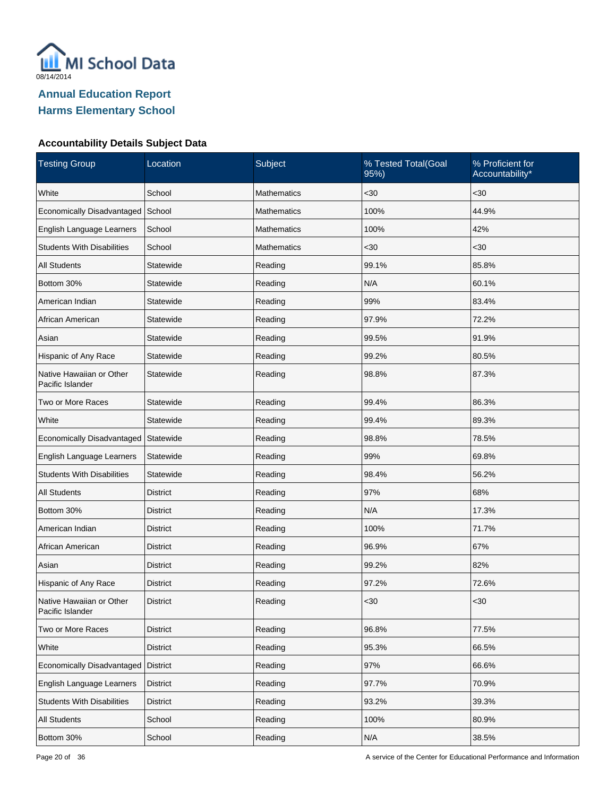

| <b>Testing Group</b>                         | Location        | Subject            | % Tested Total(Goal<br>95%) | % Proficient for<br>Accountability* |
|----------------------------------------------|-----------------|--------------------|-----------------------------|-------------------------------------|
| White                                        | School          | <b>Mathematics</b> | $30$                        | <30                                 |
| Economically Disadvantaged                   | School          | <b>Mathematics</b> | 100%                        | 44.9%                               |
| English Language Learners                    | School          | <b>Mathematics</b> | 100%                        | 42%                                 |
| <b>Students With Disabilities</b>            | School          | <b>Mathematics</b> | <30                         | $30$                                |
| <b>All Students</b>                          | Statewide       | Reading            | 99.1%                       | 85.8%                               |
| Bottom 30%                                   | Statewide       | Reading            | N/A                         | 60.1%                               |
| American Indian                              | Statewide       | Reading            | 99%                         | 83.4%                               |
| African American                             | Statewide       | Reading            | 97.9%                       | 72.2%                               |
| Asian                                        | Statewide       | Reading            | 99.5%                       | 91.9%                               |
| Hispanic of Any Race                         | Statewide       | Reading            | 99.2%                       | 80.5%                               |
| Native Hawaiian or Other<br>Pacific Islander | Statewide       | Reading            | 98.8%                       | 87.3%                               |
| Two or More Races                            | Statewide       | Reading            | 99.4%                       | 86.3%                               |
| White                                        | Statewide       | Reading            | 99.4%                       | 89.3%                               |
| Economically Disadvantaged                   | Statewide       | Reading            | 98.8%                       | 78.5%                               |
| English Language Learners                    | Statewide       | Reading            | 99%                         | 69.8%                               |
| <b>Students With Disabilities</b>            | Statewide       | Reading            | 98.4%                       | 56.2%                               |
| <b>All Students</b>                          | <b>District</b> | Reading            | 97%                         | 68%                                 |
| Bottom 30%                                   | District        | Reading            | N/A                         | 17.3%                               |
| American Indian                              | <b>District</b> | Reading            | 100%                        | 71.7%                               |
| African American                             | <b>District</b> | Reading            | 96.9%                       | 67%                                 |
| Asian                                        | <b>District</b> | Reading            | 99.2%                       | 82%                                 |
| Hispanic of Any Race                         | <b>District</b> | Reading            | 97.2%                       | 72.6%                               |
| Native Hawaiian or Other<br>Pacific Islander | <b>District</b> | Reading            | <30                         | $30$                                |
| Two or More Races                            | <b>District</b> | Reading            | 96.8%                       | 77.5%                               |
| White                                        | <b>District</b> | Reading            | 95.3%                       | 66.5%                               |
| Economically Disadvantaged                   | District        | Reading            | 97%                         | 66.6%                               |
| English Language Learners                    | District        | Reading            | 97.7%                       | 70.9%                               |
| <b>Students With Disabilities</b>            | <b>District</b> | Reading            | 93.2%                       | 39.3%                               |
| All Students                                 | School          | Reading            | 100%                        | 80.9%                               |
| Bottom 30%                                   | School          | Reading            | N/A                         | 38.5%                               |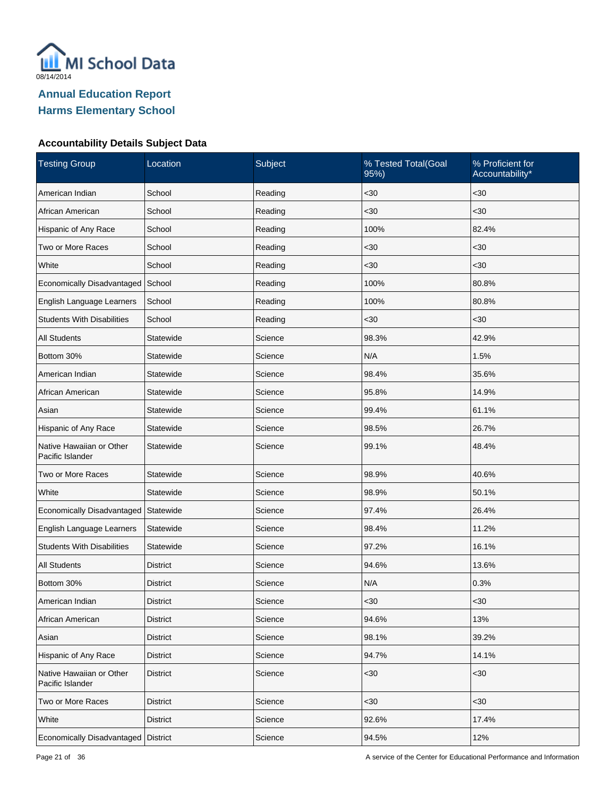

| <b>Testing Group</b>                         | Location        | Subject | % Tested Total(Goal<br>95%) | % Proficient for<br>Accountability* |
|----------------------------------------------|-----------------|---------|-----------------------------|-------------------------------------|
| American Indian                              | School          | Reading | $30$                        | <30                                 |
| African American                             | School          | Reading | $30$                        | <30                                 |
| Hispanic of Any Race                         | School          | Reading | 100%                        | 82.4%                               |
| Two or More Races                            | School          | Reading | <30                         | $30$                                |
| White                                        | School          | Reading | <30                         | <30                                 |
| Economically Disadvantaged                   | School          | Reading | 100%                        | 80.8%                               |
| English Language Learners                    | School          | Reading | 100%                        | 80.8%                               |
| <b>Students With Disabilities</b>            | School          | Reading | <30                         | $30$                                |
| <b>All Students</b>                          | Statewide       | Science | 98.3%                       | 42.9%                               |
| Bottom 30%                                   | Statewide       | Science | N/A                         | 1.5%                                |
| American Indian                              | Statewide       | Science | 98.4%                       | 35.6%                               |
| African American                             | Statewide       | Science | 95.8%                       | 14.9%                               |
| Asian                                        | Statewide       | Science | 99.4%                       | 61.1%                               |
| Hispanic of Any Race                         | Statewide       | Science | 98.5%                       | 26.7%                               |
| Native Hawaiian or Other<br>Pacific Islander | Statewide       | Science | 99.1%                       | 48.4%                               |
| Two or More Races                            | Statewide       | Science | 98.9%                       | 40.6%                               |
| White                                        | Statewide       | Science | 98.9%                       | 50.1%                               |
| Economically Disadvantaged                   | Statewide       | Science | 97.4%                       | 26.4%                               |
| English Language Learners                    | Statewide       | Science | 98.4%                       | 11.2%                               |
| <b>Students With Disabilities</b>            | Statewide       | Science | 97.2%                       | 16.1%                               |
| <b>All Students</b>                          | District        | Science | 94.6%                       | 13.6%                               |
| Bottom 30%                                   | District        | Science | N/A                         | 0.3%                                |
| American Indian                              | <b>District</b> | Science | $30$                        | <30                                 |
| African American                             | <b>District</b> | Science | 94.6%                       | 13%                                 |
| Asian                                        | <b>District</b> | Science | 98.1%                       | 39.2%                               |
| Hispanic of Any Race                         | <b>District</b> | Science | 94.7%                       | 14.1%                               |
| Native Hawaiian or Other<br>Pacific Islander | <b>District</b> | Science | $30$                        | $30$                                |
| Two or More Races                            | <b>District</b> | Science | $30$                        | <30                                 |
| White                                        | <b>District</b> | Science | 92.6%                       | 17.4%                               |
| Economically Disadvantaged                   | <b>District</b> | Science | 94.5%                       | 12%                                 |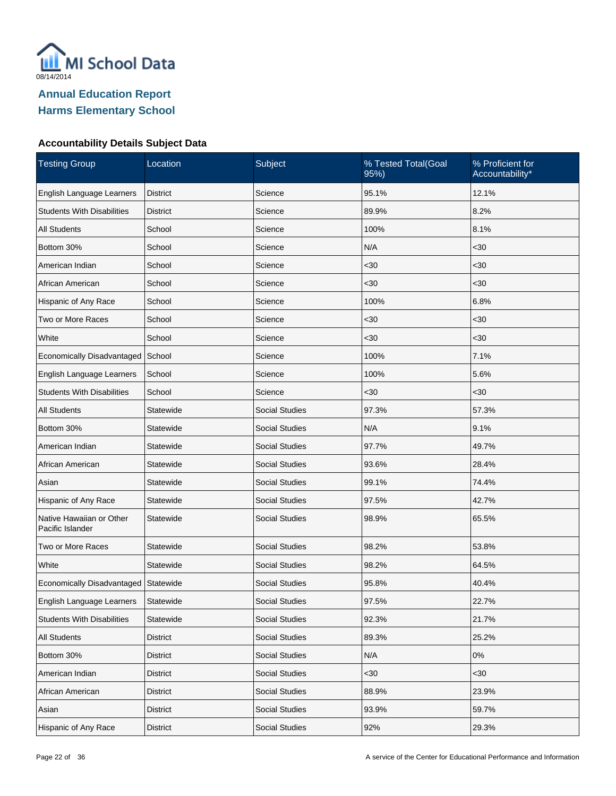

| <b>Testing Group</b>                         | Location        | Subject               | % Tested Total(Goal<br>95%) | % Proficient for<br>Accountability* |
|----------------------------------------------|-----------------|-----------------------|-----------------------------|-------------------------------------|
| English Language Learners                    | <b>District</b> | Science               | 95.1%                       | 12.1%                               |
| <b>Students With Disabilities</b>            | <b>District</b> | Science               | 89.9%                       | 8.2%                                |
| <b>All Students</b>                          | School          | Science               | 100%                        | 8.1%                                |
| Bottom 30%                                   | School          | Science               | N/A                         | $30$                                |
| American Indian                              | School          | Science               | $30$                        | <30                                 |
| African American                             | School          | Science               | $30$                        | $30$                                |
| Hispanic of Any Race                         | School          | Science               | 100%                        | 6.8%                                |
| Two or More Races                            | School          | Science               | $30$                        | $30$                                |
| White                                        | School          | Science               | $30$                        | <30                                 |
| Economically Disadvantaged                   | School          | Science               | 100%                        | 7.1%                                |
| English Language Learners                    | School          | Science               | 100%                        | 5.6%                                |
| <b>Students With Disabilities</b>            | School          | Science               | $30$                        | $30$                                |
| <b>All Students</b>                          | Statewide       | <b>Social Studies</b> | 97.3%                       | 57.3%                               |
| Bottom 30%                                   | Statewide       | <b>Social Studies</b> | N/A                         | 9.1%                                |
| American Indian                              | Statewide       | <b>Social Studies</b> | 97.7%                       | 49.7%                               |
| African American                             | Statewide       | <b>Social Studies</b> | 93.6%                       | 28.4%                               |
| Asian                                        | Statewide       | <b>Social Studies</b> | 99.1%                       | 74.4%                               |
| Hispanic of Any Race                         | Statewide       | <b>Social Studies</b> | 97.5%                       | 42.7%                               |
| Native Hawaiian or Other<br>Pacific Islander | Statewide       | Social Studies        | 98.9%                       | 65.5%                               |
| Two or More Races                            | Statewide       | <b>Social Studies</b> | 98.2%                       | 53.8%                               |
| White                                        | Statewide       | <b>Social Studies</b> | 98.2%                       | 64.5%                               |
| Economically Disadvantaged Statewide         |                 | <b>Social Studies</b> | 95.8%                       | 40.4%                               |
| English Language Learners                    | Statewide       | <b>Social Studies</b> | 97.5%                       | 22.7%                               |
| <b>Students With Disabilities</b>            | Statewide       | <b>Social Studies</b> | 92.3%                       | 21.7%                               |
| <b>All Students</b>                          | <b>District</b> | <b>Social Studies</b> | 89.3%                       | 25.2%                               |
| Bottom 30%                                   | <b>District</b> | <b>Social Studies</b> | N/A                         | 0%                                  |
| American Indian                              | <b>District</b> | Social Studies        | <30                         | $30$                                |
| African American                             | <b>District</b> | Social Studies        | 88.9%                       | 23.9%                               |
| Asian                                        | <b>District</b> | Social Studies        | 93.9%                       | 59.7%                               |
| Hispanic of Any Race                         | <b>District</b> | Social Studies        | 92%                         | 29.3%                               |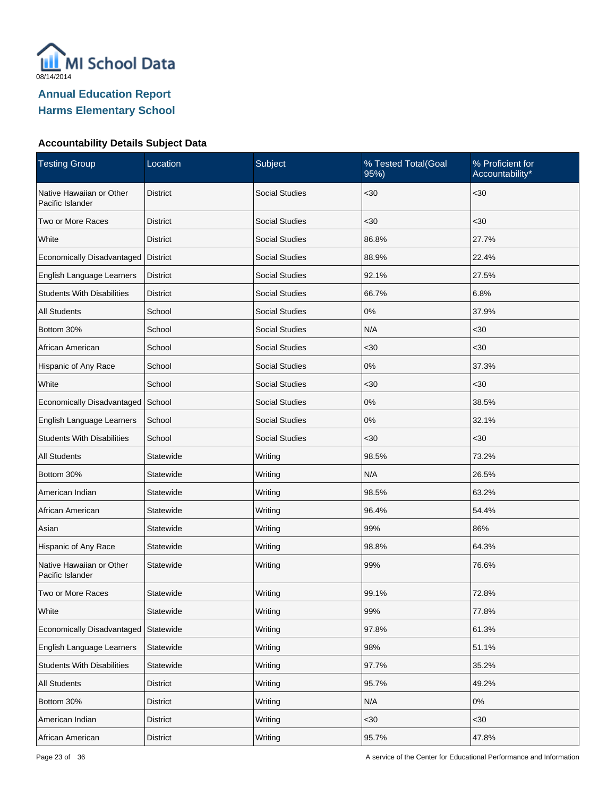

| <b>Testing Group</b>                         | Location        | Subject               | % Tested Total(Goal<br>95%) | % Proficient for<br>Accountability* |
|----------------------------------------------|-----------------|-----------------------|-----------------------------|-------------------------------------|
| Native Hawaiian or Other<br>Pacific Islander | <b>District</b> | <b>Social Studies</b> | <30                         | $30$                                |
| Two or More Races                            | <b>District</b> | <b>Social Studies</b> | $30$                        | $30$                                |
| White                                        | <b>District</b> | <b>Social Studies</b> | 86.8%                       | 27.7%                               |
| Economically Disadvantaged   District        |                 | <b>Social Studies</b> | 88.9%                       | 22.4%                               |
| English Language Learners                    | <b>District</b> | <b>Social Studies</b> | 92.1%                       | 27.5%                               |
| <b>Students With Disabilities</b>            | <b>District</b> | <b>Social Studies</b> | 66.7%                       | 6.8%                                |
| <b>All Students</b>                          | School          | <b>Social Studies</b> | 0%                          | 37.9%                               |
| Bottom 30%                                   | School          | <b>Social Studies</b> | N/A                         | <30                                 |
| African American                             | School          | <b>Social Studies</b> | <30                         | <30                                 |
| Hispanic of Any Race                         | School          | <b>Social Studies</b> | 0%                          | 37.3%                               |
| White                                        | School          | <b>Social Studies</b> | <30                         | $30$                                |
| Economically Disadvantaged School            |                 | <b>Social Studies</b> | 0%                          | 38.5%                               |
| English Language Learners                    | School          | <b>Social Studies</b> | 0%                          | 32.1%                               |
| <b>Students With Disabilities</b>            | School          | <b>Social Studies</b> | <30                         | <30                                 |
| <b>All Students</b>                          | Statewide       | Writing               | 98.5%                       | 73.2%                               |
| Bottom 30%                                   | Statewide       | Writing               | N/A                         | 26.5%                               |
| American Indian                              | Statewide       | Writing               | 98.5%                       | 63.2%                               |
| African American                             | Statewide       | Writing               | 96.4%                       | 54.4%                               |
| Asian                                        | Statewide       | Writing               | 99%                         | 86%                                 |
| Hispanic of Any Race                         | Statewide       | Writing               | 98.8%                       | 64.3%                               |
| Native Hawaiian or Other<br>Pacific Islander | Statewide       | Writing               | 99%                         | 76.6%                               |
| Two or More Races                            | Statewide       | Writing               | 99.1%                       | 72.8%                               |
| White                                        | Statewide       | Writing               | 99%                         | 77.8%                               |
| Economically Disadvantaged                   | Statewide       | Writing               | 97.8%                       | 61.3%                               |
| English Language Learners                    | Statewide       | Writing               | 98%                         | 51.1%                               |
| <b>Students With Disabilities</b>            | Statewide       | Writing               | 97.7%                       | 35.2%                               |
| All Students                                 | <b>District</b> | Writing               | 95.7%                       | 49.2%                               |
| Bottom 30%                                   | <b>District</b> | Writing               | N/A                         | $0\%$                               |
| American Indian                              | <b>District</b> | Writing               | $30$                        | $30$                                |
| African American                             | <b>District</b> | Writing               | 95.7%                       | 47.8%                               |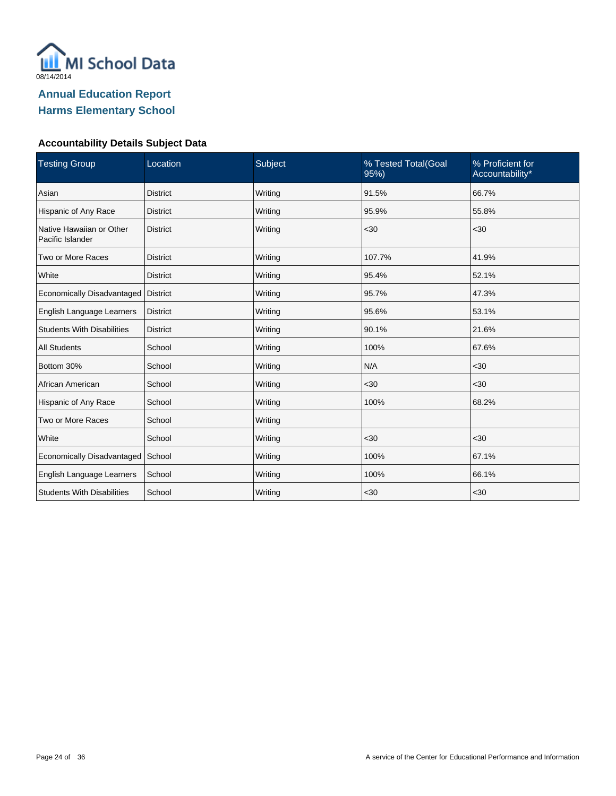

| <b>Testing Group</b>                         | Location        | Subject | % Tested Total(Goal<br>95% | % Proficient for<br>Accountability* |
|----------------------------------------------|-----------------|---------|----------------------------|-------------------------------------|
| Asian                                        | <b>District</b> | Writing | 91.5%                      | 66.7%                               |
| Hispanic of Any Race                         | <b>District</b> | Writing | 95.9%                      | 55.8%                               |
| Native Hawaiian or Other<br>Pacific Islander | <b>District</b> | Writing | $30$                       | <30                                 |
| Two or More Races                            | <b>District</b> | Writing | 107.7%                     | 41.9%                               |
| White                                        | <b>District</b> | Writing | 95.4%                      | 52.1%                               |
| Economically Disadvantaged                   | <b>District</b> | Writing | 95.7%                      | 47.3%                               |
| English Language Learners                    | <b>District</b> | Writing | 95.6%                      | 53.1%                               |
| <b>Students With Disabilities</b>            | <b>District</b> | Writing | 90.1%                      | 21.6%                               |
| <b>All Students</b>                          | School          | Writing | 100%                       | 67.6%                               |
| Bottom 30%                                   | School          | Writing | N/A                        | <30                                 |
| African American                             | School          | Writing | <30                        | <30                                 |
| Hispanic of Any Race                         | School          | Writing | 100%                       | 68.2%                               |
| Two or More Races                            | School          | Writing |                            |                                     |
| White                                        | School          | Writing | $30$                       | $30$                                |
| Economically Disadvantaged                   | School          | Writing | 100%                       | 67.1%                               |
| English Language Learners                    | School          | Writing | 100%                       | 66.1%                               |
| <b>Students With Disabilities</b>            | School          | Writing | $30$                       | <30                                 |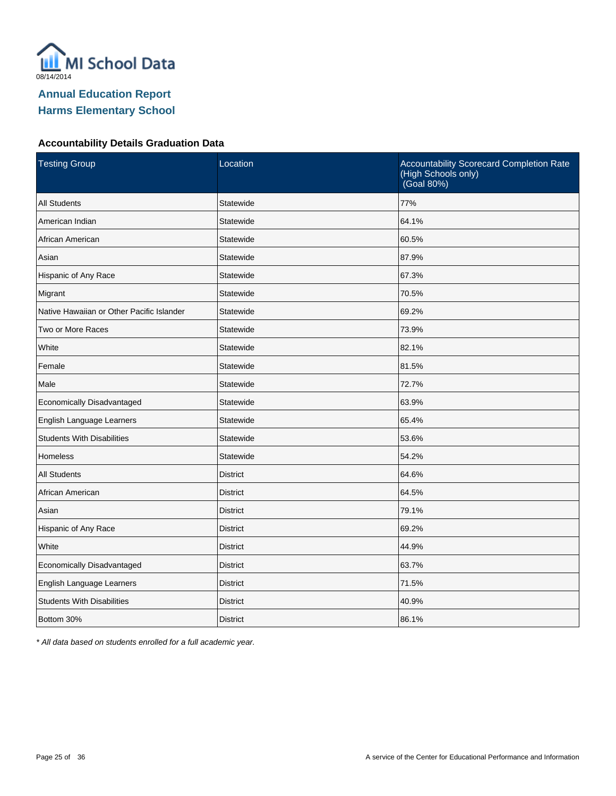

#### **Accountability Details Graduation Data**

| <b>Testing Group</b>                      | Location        | Accountability Scorecard Completion Rate<br>(High Schools only)<br>(Goal 80%) |
|-------------------------------------------|-----------------|-------------------------------------------------------------------------------|
| <b>All Students</b>                       | Statewide       | 77%                                                                           |
| American Indian                           | Statewide       | 64.1%                                                                         |
| African American                          | Statewide       | 60.5%                                                                         |
| Asian                                     | Statewide       | 87.9%                                                                         |
| Hispanic of Any Race                      | Statewide       | 67.3%                                                                         |
| Migrant                                   | Statewide       | 70.5%                                                                         |
| Native Hawaiian or Other Pacific Islander | Statewide       | 69.2%                                                                         |
| Two or More Races                         | Statewide       | 73.9%                                                                         |
| White                                     | Statewide       | 82.1%                                                                         |
| Female                                    | Statewide       | 81.5%                                                                         |
| Male                                      | Statewide       | 72.7%                                                                         |
| Economically Disadvantaged                | Statewide       | 63.9%                                                                         |
| English Language Learners                 | Statewide       | 65.4%                                                                         |
| <b>Students With Disabilities</b>         | Statewide       | 53.6%                                                                         |
| <b>Homeless</b>                           | Statewide       | 54.2%                                                                         |
| <b>All Students</b>                       | <b>District</b> | 64.6%                                                                         |
| African American                          | <b>District</b> | 64.5%                                                                         |
| Asian                                     | <b>District</b> | 79.1%                                                                         |
| Hispanic of Any Race                      | <b>District</b> | 69.2%                                                                         |
| White                                     | <b>District</b> | 44.9%                                                                         |
| Economically Disadvantaged                | <b>District</b> | 63.7%                                                                         |
| English Language Learners                 | <b>District</b> | 71.5%                                                                         |
| <b>Students With Disabilities</b>         | <b>District</b> | 40.9%                                                                         |
| Bottom 30%                                | <b>District</b> | 86.1%                                                                         |

\* All data based on students enrolled for a full academic year.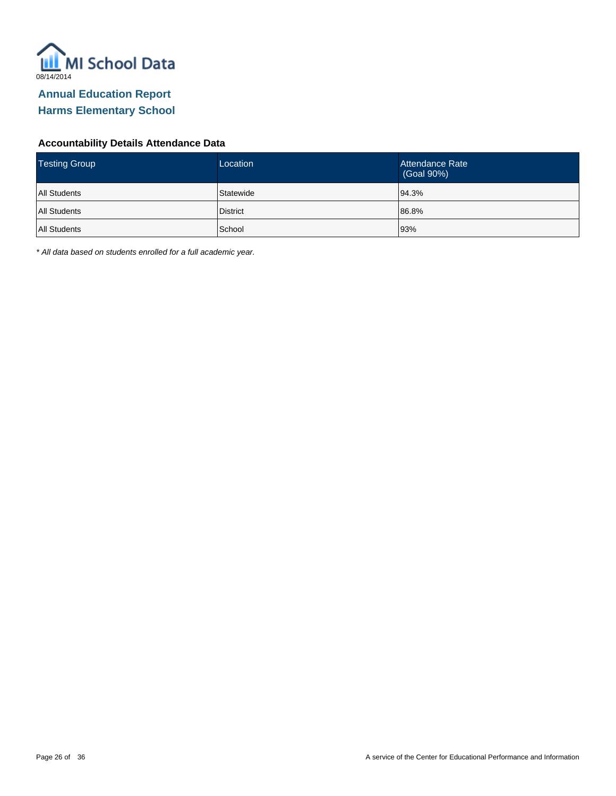

#### **Accountability Details Attendance Data**

| <b>Testing Group</b> | Location        | Attendance Rate<br>(Goal 90%) |
|----------------------|-----------------|-------------------------------|
| <b>All Students</b>  | Statewide       | 94.3%                         |
| All Students         | <b>District</b> | 86.8%                         |
| All Students         | School          | 93%                           |

\* All data based on students enrolled for a full academic year.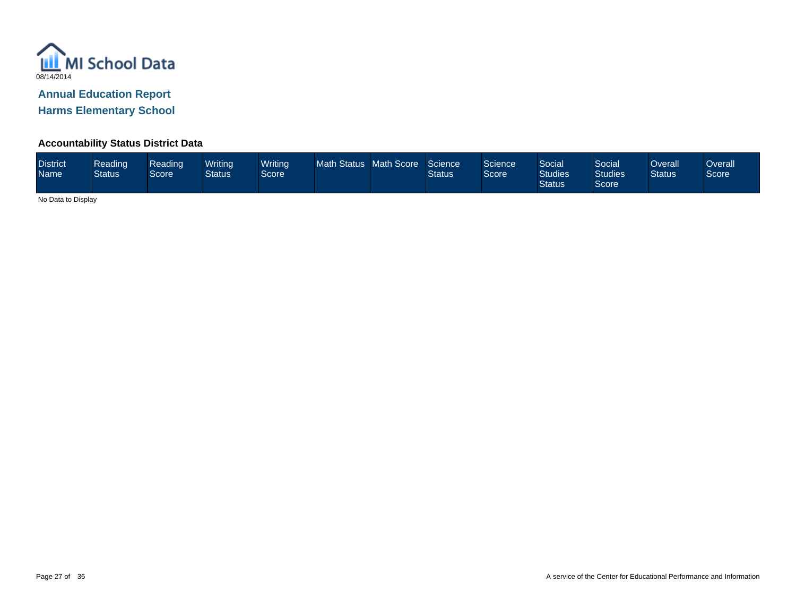

# **Annual Education Report**

**Harms Elementary School**

## **Accountability Status District Data**

| <b>District</b><br><b>Name</b> | Reading<br><b>Status</b> | Reading<br>Score | <b>Writina</b><br>Status | <b>Writing</b><br>Score | Math Status Math Score |  | Science<br>Status | Science<br><b>Score</b> | Social<br><b>Studies</b><br><b>Status</b> | Social<br><b>Studies</b><br>Score | Overall<br><b>Status</b> | Overall<br>Score |
|--------------------------------|--------------------------|------------------|--------------------------|-------------------------|------------------------|--|-------------------|-------------------------|-------------------------------------------|-----------------------------------|--------------------------|------------------|
|--------------------------------|--------------------------|------------------|--------------------------|-------------------------|------------------------|--|-------------------|-------------------------|-------------------------------------------|-----------------------------------|--------------------------|------------------|

No Data to Display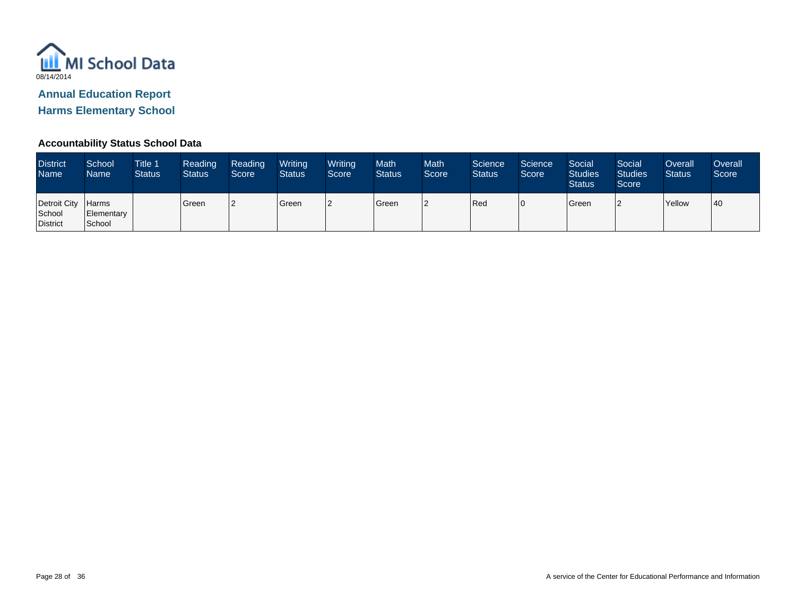

# **Annual Education Report**

**Harms Elementary School**

## **Accountability Status School Data**

| <b>District</b><br>Name <sup>1</sup> | School<br><b>Name</b>                | <b>Title 1</b><br><b>Status</b> | Reading<br><b>Status</b> | Reading<br>Score | Writing<br><b>Status</b> | Writing<br>Score | Math<br><b>Status</b> | <b>Math</b><br>Score | Science<br><b>Status</b> | Science<br>Score | Social<br><b>Studies</b><br><b>Status</b> | Social<br><b>Studies</b><br>Score | Overall<br><b>Status</b> | <b>Overall</b><br>Score |
|--------------------------------------|--------------------------------------|---------------------------------|--------------------------|------------------|--------------------------|------------------|-----------------------|----------------------|--------------------------|------------------|-------------------------------------------|-----------------------------------|--------------------------|-------------------------|
| Detroit City<br>School<br>District   | <b>Harms</b><br>Elementary<br>School |                                 | Green                    |                  | Green                    |                  | Green                 |                      | Red                      | ١C               | Green                                     | $\sqrt{2}$                        | Yellow                   | 40                      |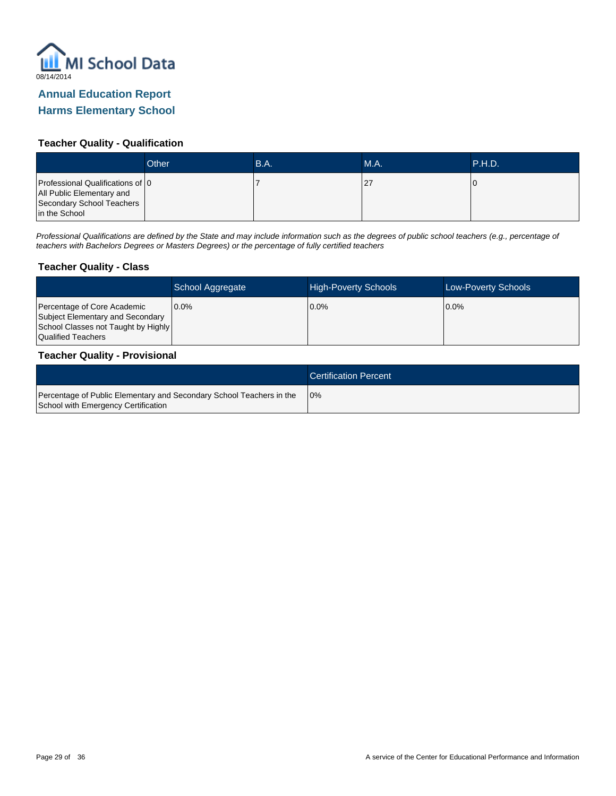

## **Teacher Quality - Qualification**

|                                                                                                             | Other | B.A. | <b>M.A.</b> | .P.H.D. |
|-------------------------------------------------------------------------------------------------------------|-------|------|-------------|---------|
| Professional Qualifications of 0<br>All Public Elementary and<br>Secondary School Teachers<br>in the School |       |      |             |         |

Professional Qualifications are defined by the State and may include information such as the degrees of public school teachers (e.g., percentage of teachers with Bachelors Degrees or Masters Degrees) or the percentage of fully certified teachers

#### **Teacher Quality - Class**

|                                                                                                                              | School Aggregate | <b>High-Poverty Schools</b> | <b>Low-Poverty Schools</b> |
|------------------------------------------------------------------------------------------------------------------------------|------------------|-----------------------------|----------------------------|
| Percentage of Core Academic<br>Subject Elementary and Secondary<br>School Classes not Taught by Highly<br>Qualified Teachers | $0.0\%$          | $0.0\%$                     | $10.0\%$                   |

#### **Teacher Quality - Provisional**

|                                                                                                             | <b>Certification Percent</b> |
|-------------------------------------------------------------------------------------------------------------|------------------------------|
| Percentage of Public Elementary and Secondary School Teachers in the<br>School with Emergency Certification | 10%                          |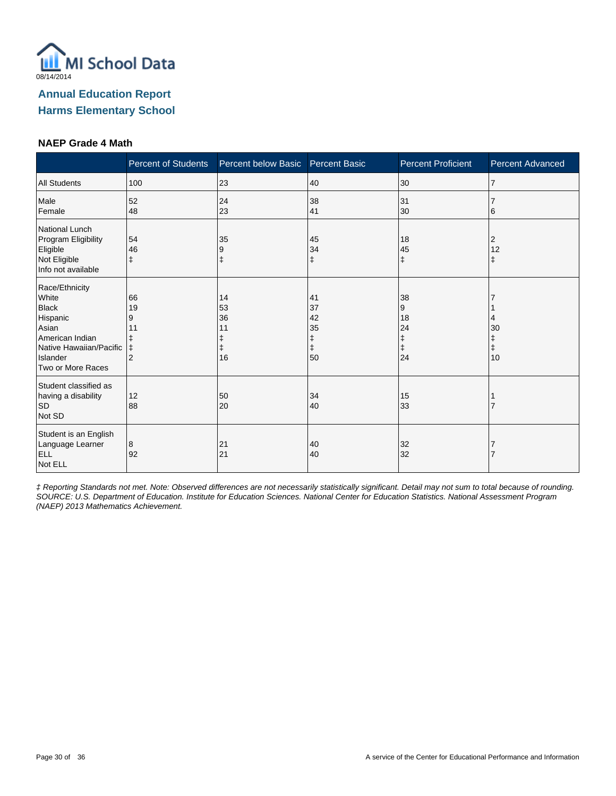

#### **NAEP Grade 4 Math**

|                                                                                                                                             | <b>Percent of Students</b>                 | Percent below Basic Percent Basic |                                 | <b>Percent Proficient</b>           | <b>Percent Advanced</b>     |
|---------------------------------------------------------------------------------------------------------------------------------------------|--------------------------------------------|-----------------------------------|---------------------------------|-------------------------------------|-----------------------------|
| <b>All Students</b>                                                                                                                         | 100                                        | 23                                | 40                              | 30                                  | 17                          |
| Male<br>Female                                                                                                                              | 52<br>48                                   | 24<br>23                          | 38<br>41                        | 31<br>30                            | 6                           |
| National Lunch<br>Program Eligibility<br>Eligible<br>Not Eligible<br>Info not available                                                     | 54<br>46<br>ŧ                              | 35<br>9                           | 45<br>34<br>$\ddagger$          | 18<br>45<br>ŧ                       | 2<br>12<br>ŧ                |
| Race/Ethnicity<br>White<br><b>Black</b><br>Hispanic<br>Asian<br>American Indian<br>Native Hawaiian/Pacific<br>Islander<br>Two or More Races | 66<br>19<br>9<br>11<br>ŧ<br>$\overline{2}$ | 14<br>53<br>36<br>11<br>16        | 41<br>37<br>42<br>35<br>ŧ<br>50 | 38<br>9<br>18<br>24<br>ŧ<br>ŧ<br>24 | 4<br>30<br>$\ddagger$<br>10 |
| Student classified as<br>having a disability<br><b>SD</b><br>Not SD                                                                         | 12<br>88                                   | 50<br>20                          | 34<br>40                        | 15<br>33                            |                             |
| Student is an English<br>Language Learner<br><b>ELL</b><br>Not ELL                                                                          | 8<br>92                                    | 21<br>21                          | 40<br>40                        | 32<br>32                            |                             |

‡ Reporting Standards not met. Note: Observed differences are not necessarily statistically significant. Detail may not sum to total because of rounding. SOURCE: U.S. Department of Education. Institute for Education Sciences. National Center for Education Statistics. National Assessment Program (NAEP) 2013 Mathematics Achievement.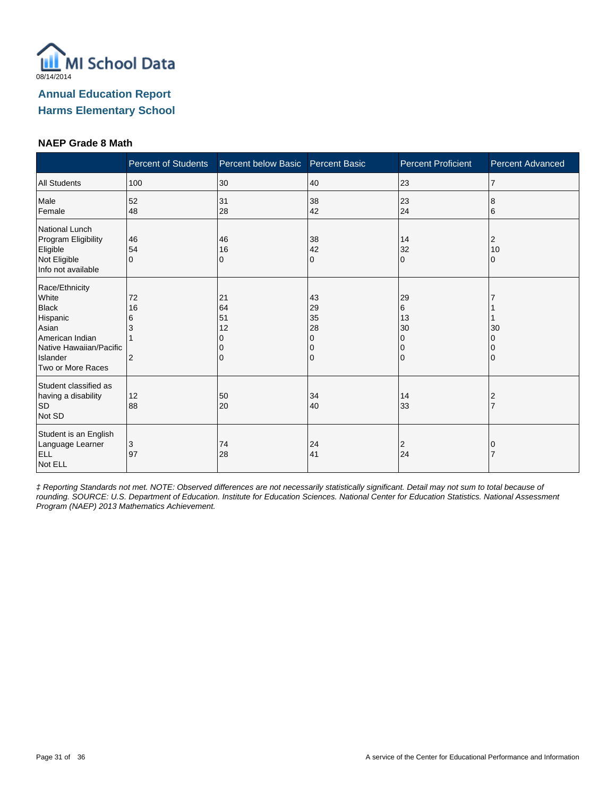

#### **NAEP Grade 8 Math**

|                                                                                                                                             | <b>Percent of Students</b> | Percent below Basic            | <b>Percent Basic</b>                | <b>Percent Proficient</b>                    | <b>Percent Advanced</b> |
|---------------------------------------------------------------------------------------------------------------------------------------------|----------------------------|--------------------------------|-------------------------------------|----------------------------------------------|-------------------------|
| <b>All Students</b>                                                                                                                         | 100                        | 30                             | 40                                  | 23                                           | $\overline{7}$          |
| Male<br>Female                                                                                                                              | 52<br>48                   | 31<br>28                       | 38<br>42                            | 23<br>24                                     | 8<br>6                  |
| National Lunch<br>Program Eligibility<br>Eligible<br>Not Eligible<br>Info not available                                                     | 46<br>54<br>$\Omega$       | 46<br>16<br>0                  | 38<br>42<br>0                       | 14<br>32<br>$\Omega$                         | 2<br>10<br>0            |
| Race/Ethnicity<br>White<br><b>Black</b><br>Hispanic<br>Asian<br>American Indian<br>Native Hawaiian/Pacific<br>Islander<br>Two or More Races | 72<br>16<br>6<br>3<br>2    | 21<br>64<br>51<br>12<br>O<br>0 | 43<br>29<br>35<br>28<br>0<br>0<br>0 | 29<br>6<br>13<br>30<br>0<br>0<br>$\mathbf 0$ | 30<br>0                 |
| Student classified as<br>having a disability<br><b>SD</b><br>Not SD                                                                         | 12<br>88                   | 50<br>20                       | 34<br>40                            | 14<br>33                                     | 2                       |
| Student is an English<br>Language Learner<br><b>ELL</b><br>Not ELL                                                                          | 3<br>97                    | 74<br>28                       | 24<br>41                            | $\overline{2}$<br>24                         | 0                       |

‡ Reporting Standards not met. NOTE: Observed differences are not necessarily statistically significant. Detail may not sum to total because of rounding. SOURCE: U.S. Department of Education. Institute for Education Sciences. National Center for Education Statistics. National Assessment Program (NAEP) 2013 Mathematics Achievement.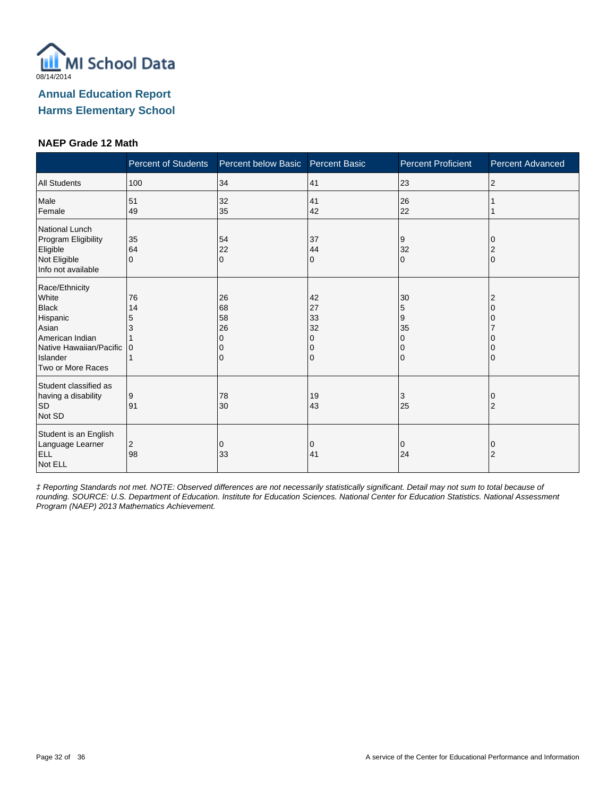

#### **NAEP Grade 12 Math**

|                                                                                                                                             | <b>Percent of Students</b> | Percent below Basic  | <b>Percent Basic</b>                | <b>Percent Proficient</b> | <b>Percent Advanced</b> |
|---------------------------------------------------------------------------------------------------------------------------------------------|----------------------------|----------------------|-------------------------------------|---------------------------|-------------------------|
| <b>All Students</b>                                                                                                                         | 100                        | 34                   | 41                                  | 23                        | 2                       |
| Male<br>Female                                                                                                                              | 51<br>49                   | 32<br>35             | 41<br>42                            | 26<br>22                  |                         |
| National Lunch<br>Program Eligibility<br>Eligible<br>Not Eligible<br>Info not available                                                     | 35<br>64<br>$\mathbf 0$    | 54<br>22<br>$\Omega$ | 37<br>44<br>0                       | 9<br>32<br>$\Omega$       | $\Omega$                |
| Race/Ethnicity<br>White<br><b>Black</b><br>Hispanic<br>Asian<br>American Indian<br>Native Hawaiian/Pacific<br>Islander<br>Two or More Races | 76<br>14<br>5<br>3<br>l 0  | 26<br>68<br>58<br>26 | 42<br>27<br>33<br>32<br>O<br>0<br>0 | 30<br>5<br>9<br>35<br>0   |                         |
| Student classified as<br>having a disability<br><b>SD</b><br>Not SD                                                                         | 9<br>91                    | 78<br>30             | 19<br>43                            | 3<br>25                   | 2                       |
| Student is an English<br>Language Learner<br><b>ELL</b><br>Not ELL                                                                          | 2<br>98                    | 0<br>33              | 0<br>41                             | 0<br>24                   | O<br>2                  |

‡ Reporting Standards not met. NOTE: Observed differences are not necessarily statistically significant. Detail may not sum to total because of rounding. SOURCE: U.S. Department of Education. Institute for Education Sciences. National Center for Education Statistics. National Assessment Program (NAEP) 2013 Mathematics Achievement.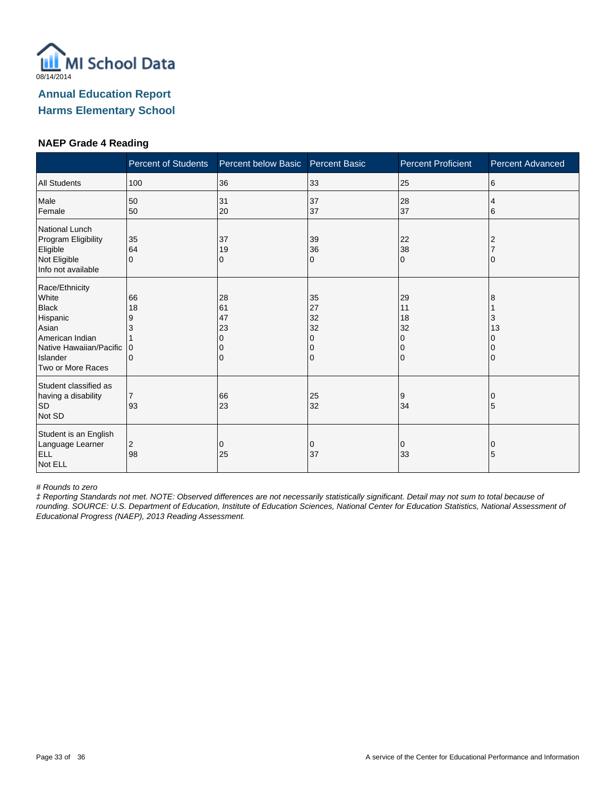

#### **NAEP Grade 4 Reading**

|                                                                                                                                             | <b>Percent of Students</b>    | Percent below Basic                       | Percent Basic                       | <b>Percent Proficient</b>                  | <b>Percent Advanced</b> |
|---------------------------------------------------------------------------------------------------------------------------------------------|-------------------------------|-------------------------------------------|-------------------------------------|--------------------------------------------|-------------------------|
| <b>All Students</b>                                                                                                                         | 100                           | 36                                        | 33                                  | 25                                         | 6                       |
| Male<br>Female                                                                                                                              | 50<br>50                      | 31<br>20                                  | 37<br>37                            | 28<br>37                                   | 4<br>6                  |
| National Lunch<br>Program Eligibility<br>Eligible<br>Not Eligible<br>Info not available                                                     | 35<br>64<br>$\Omega$          | 37<br>19<br>0                             | 39<br>36<br>0                       | 22<br>38<br>$\Omega$                       | 2                       |
| Race/Ethnicity<br>White<br><b>Black</b><br>Hispanic<br>Asian<br>American Indian<br>Native Hawaiian/Pacific<br>Islander<br>Two or More Races | 66<br>18<br>9<br>3<br>ΙO<br>0 | 28<br>61<br>47<br>23<br>$\mathbf{0}$<br>0 | 35<br>27<br>32<br>32<br>0<br>0<br>0 | 29<br>11<br>18<br>32<br>0<br>0<br>$\Omega$ | 8<br>3<br>13            |
| Student classified as<br>having a disability<br><b>SD</b><br>Not SD                                                                         | 93                            | 66<br>23                                  | 25<br>32                            | 9<br>34                                    | 5                       |
| Student is an English<br>Language Learner<br><b>ELL</b><br>Not ELL                                                                          | 2<br>98                       | 0<br>25                                   | 0<br>37                             | 0<br>33                                    | 0<br>5                  |

# Rounds to zero

‡ Reporting Standards not met. NOTE: Observed differences are not necessarily statistically significant. Detail may not sum to total because of rounding. SOURCE: U.S. Department of Education, Institute of Education Sciences, National Center for Education Statistics, National Assessment of Educational Progress (NAEP), 2013 Reading Assessment.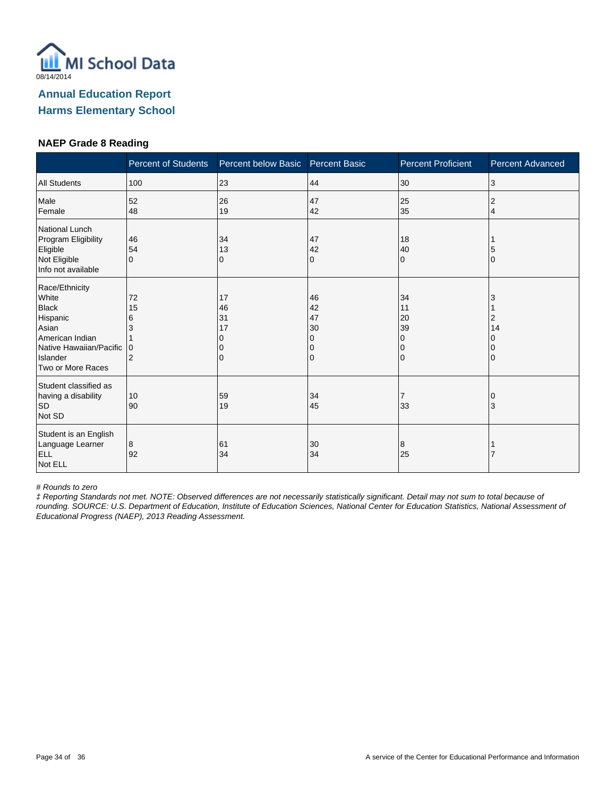

#### **NAEP Grade 8 Reading**

|                                                                                                                                             | <b>Percent of Students</b>                       | Percent below Basic       | <b>Percent Basic</b>                | <b>Percent Proficient</b>           | <b>Percent Advanced</b> |
|---------------------------------------------------------------------------------------------------------------------------------------------|--------------------------------------------------|---------------------------|-------------------------------------|-------------------------------------|-------------------------|
| <b>All Students</b>                                                                                                                         | 100                                              | 23                        | 44                                  | 30                                  | 3                       |
| Male<br>Female                                                                                                                              | 52<br>48                                         | 26<br>19                  | 47<br>42                            | 25<br>35                            | 2<br>4                  |
| National Lunch<br>Program Eligibility<br>Eligible<br>Not Eligible<br>Info not available                                                     | 46<br>54<br>$\Omega$                             | 34<br>13<br>0             | 47<br>42<br>0                       | 18<br>40<br>$\Omega$                | 5<br>O                  |
| Race/Ethnicity<br>White<br><b>Black</b><br>Hispanic<br>Asian<br>American Indian<br>Native Hawaiian/Pacific<br>Islander<br>Two or More Races | 72<br>15<br>6<br>3<br>$\Omega$<br>$\overline{2}$ | 17<br>46<br>31<br>17<br>0 | 46<br>42<br>47<br>30<br>0<br>0<br>0 | 34<br>11<br>20<br>39<br>0<br>0<br>0 | 2<br>14                 |
| Student classified as<br>having a disability<br><b>SD</b><br>Not SD                                                                         | 10<br>90                                         | 59<br>19                  | 34<br>45                            | 33                                  | 3                       |
| Student is an English<br>Language Learner<br><b>ELL</b><br>Not ELL                                                                          | 8<br>92                                          | 61<br>34                  | 30<br>34                            | 8<br>25                             |                         |

# Rounds to zero

‡ Reporting Standards not met. NOTE: Observed differences are not necessarily statistically significant. Detail may not sum to total because of rounding. SOURCE: U.S. Department of Education, Institute of Education Sciences, National Center for Education Statistics, National Assessment of Educational Progress (NAEP), 2013 Reading Assessment.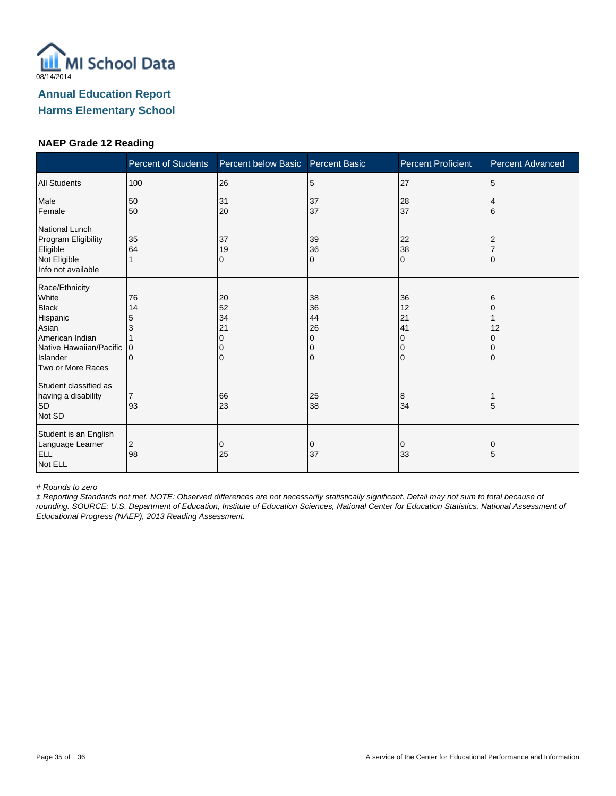

#### **NAEP Grade 12 Reading**

|                                                                                                                                             | <b>Percent of Students</b>                    | Percent below Basic            | <b>Percent Basic</b>                | <b>Percent Proficient</b>                                   | <b>Percent Advanced</b> |
|---------------------------------------------------------------------------------------------------------------------------------------------|-----------------------------------------------|--------------------------------|-------------------------------------|-------------------------------------------------------------|-------------------------|
| <b>All Students</b>                                                                                                                         | 100                                           | 26                             | 5                                   | 27                                                          | 5                       |
| Male<br>Female                                                                                                                              | 50<br>50                                      | 31<br>20                       | 37<br>37                            | 28<br>37                                                    | 4<br>6                  |
| National Lunch<br>Program Eligibility<br>Eligible<br>Not Eligible<br>Info not available                                                     | 35<br>64                                      | 37<br>19<br>0                  | 39<br>36<br>0                       | 22<br>38<br>$\Omega$                                        |                         |
| Race/Ethnicity<br>White<br><b>Black</b><br>Hispanic<br>Asian<br>American Indian<br>Native Hawaiian/Pacific<br>Islander<br>Two or More Races | 76<br>14<br>5<br>3<br>$\Omega$<br>$\mathbf 0$ | 20<br>52<br>34<br>21<br>O<br>0 | 38<br>36<br>44<br>26<br>0<br>0<br>0 | 36<br>12<br>21<br>41<br>$\Omega$<br>$\Omega$<br>$\mathbf 0$ | 6<br>12                 |
| Student classified as<br>having a disability<br><b>SD</b><br>Not SD                                                                         | $\overline{7}$<br>93                          | 66<br>23                       | 25<br>38                            | 8<br>34                                                     | 5                       |
| Student is an English<br>Language Learner<br><b>ELL</b><br>Not ELL                                                                          | 2<br>98                                       | 0<br>25                        | 0<br>37                             | 0<br>33                                                     | 0<br>5                  |

# Rounds to zero

‡ Reporting Standards not met. NOTE: Observed differences are not necessarily statistically significant. Detail may not sum to total because of rounding. SOURCE: U.S. Department of Education, Institute of Education Sciences, National Center for Education Statistics, National Assessment of Educational Progress (NAEP), 2013 Reading Assessment.